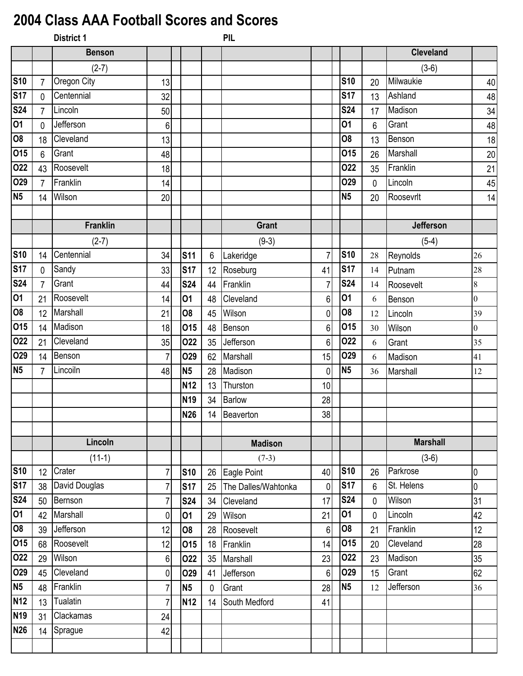## **2004 Class AAA Football Scores and Scores**

|                         |                | <b>District 1</b> |                |                 |                | <b>PIL</b>          |                |                 |             |                  |                  |
|-------------------------|----------------|-------------------|----------------|-----------------|----------------|---------------------|----------------|-----------------|-------------|------------------|------------------|
|                         |                | <b>Benson</b>     |                |                 |                |                     |                |                 |             | <b>Cleveland</b> |                  |
|                         |                | $(2-7)$           |                |                 |                |                     |                |                 |             | $(3-6)$          |                  |
| <b>S10</b>              | $\overline{7}$ | Oregon City       | 13             |                 |                |                     |                | <b>S10</b>      | 20          | Milwaukie        | 40               |
| S <sub>17</sub>         | 0              | Centennial        | 32             |                 |                |                     |                | <b>S17</b>      | 13          | Ashland          | 48               |
| <b>S24</b>              | $\overline{7}$ | Lincoln           | 50             |                 |                |                     |                | <b>S24</b>      | 17          | Madison          | 34               |
| 01                      | 0              | Jefferson         | 6              |                 |                |                     |                | 01              | 6           | Grant            | 48               |
| $\overline{80}$         | 18             | Cleveland         | 13             |                 |                |                     |                | O <sub>8</sub>  | 13          | Benson           | 18               |
| 015                     | 6              | Grant             | 48             |                 |                |                     |                | 015             | 26          | Marshall         | 20               |
| 022                     | 43             | Roosevelt         | 18             |                 |                |                     |                | 022             | 35          | Franklin         | 21               |
| 029                     | $\overline{7}$ | Franklin          | 14             |                 |                |                     |                | O <sub>29</sub> | $\mathbf 0$ | Lincoln          | 45               |
| N <sub>5</sub>          | 14             | Wilson            | 20             |                 |                |                     |                | N <sub>5</sub>  | 20          | Roosevrlt        | 14               |
|                         |                |                   |                |                 |                |                     |                |                 |             |                  |                  |
|                         |                | <b>Franklin</b>   |                |                 |                | <b>Grant</b>        |                |                 |             | Jefferson        |                  |
|                         |                | $(2-7)$           |                |                 |                | $(9-3)$             |                |                 |             | $(5-4)$          |                  |
| <b>S10</b>              | 14             | Centennial        | 34             | <b>S11</b>      | $6\phantom{.}$ | Lakeridge           | $\overline{7}$ | <b>S10</b>      | 28          | Reynolds         | 26               |
| <b>S17</b>              | 0              | Sandy             | 33             | <b>S17</b>      | 12             | Roseburg            | 41             | <b>S17</b>      | 14          | Putnam           | 28               |
| $\overline{\text{S24}}$ | $\overline{7}$ | Grant             | 44             | <b>S24</b>      | 44             | Franklin            | 7              | <b>S24</b>      | 14          | Roosevelt        | $\,8\,$          |
| $\overline{01}$         | 21             | Roosevelt         | 14             | 01              | 48             | Cleveland           | 6              | 01              | 6           | Benson           | $\boldsymbol{0}$ |
| 08                      | 12             | Marshall          | 21             | 08              | 45             | Wilson              | $\overline{0}$ | O <sub>8</sub>  | 12          | Lincoln          | 39               |
| 015                     | 14             | Madison           | 18             | 015             | 48             | Benson              | 6 <sup>1</sup> | 015             | 30          | Wilson           | $\boldsymbol{0}$ |
| 022                     | 21             | Cleveland         | 35             | 022             | 35             | Jefferson           | 6 <sup>1</sup> | 022             | 6           | Grant            | 35               |
| 029                     | 14             | Benson            | 7              | <b>O29</b>      | 62             | Marshall            | 15             | <b>O29</b>      | 6           | Madison          | 41               |
| <b>N5</b>               | 7              | Lincoiln          | 48             | N <sub>5</sub>  | 28             | Madison             | $\mathbf 0$    | <b>N5</b>       | 36          | Marshall         | 12               |
|                         |                |                   |                | N <sub>12</sub> | 13             | Thurston            | 10             |                 |             |                  |                  |
|                         |                |                   |                | N <sub>19</sub> | 34             | <b>Barlow</b>       | 28             |                 |             |                  |                  |
|                         |                |                   |                | <b>N26</b>      | 14             | Beaverton           | 38             |                 |             |                  |                  |
|                         |                |                   |                |                 |                |                     |                |                 |             |                  |                  |
|                         |                | Lincoln           |                |                 |                | <b>Madison</b>      |                |                 |             | <b>Marshall</b>  |                  |
|                         |                | $(11-1)$          |                |                 |                | $(7-3)$             |                |                 |             | $(3-6)$          |                  |
| <b>S10</b>              | 12             | Crater            | 7              | <b>S10</b>      | 26             | Eagle Point         | 40             | <b>S10</b>      | 26          | Parkrose         | $\overline{0}$   |
| <b>S17</b>              | 38             | David Douglas     | $\overline{7}$ | <b>S17</b>      | 25             | The Dalles/Wahtonka | $\mathbf{0}$   | <b>S17</b>      | 6           | St. Helens       | $\mathbf 0$      |
| <b>S24</b>              | 50             | Bernson           | $\overline{7}$ | <b>S24</b>      | 34             | Cleveland           | 17             | <b>S24</b>      | 0           | Wilson           | 31               |
| $\overline{01}$         | 42             | Marshall          | 0              | 01              | 29             | Wilson              | 21             | 01              | 0           | Lincoln          | 42               |
| 08                      | 39             | Jefferson         | 12             | O <sub>8</sub>  | 28             | Roosevelt           | 6 <sup>1</sup> | <b>O8</b>       | 21          | Franklin         | 12               |
| 015                     | 68             | Roosevelt         | 12             | 015             | 18             | Franklin            | 14             | 015             | 20          | Cleveland        | 28               |
| 022                     | 29             | Wilson            | 6              | 022             | 35             | Marshall            | 23             | 022             | 23          | Madison          | 35               |
| 029                     | 45             | Cleveland         | $\overline{0}$ | <b>O29</b>      | 41             | Jefferson           | 6 <sup>1</sup> | <b>O29</b>      | 15          | Grant            | 62               |
| N <sub>5</sub>          | 48             | Franklin          | $\overline{7}$ | <b>N5</b>       | 0              | Grant               | 28             | <b>N5</b>       | 12          | Jefferson        | 36               |
| <b>N12</b>              | 13             | Tualatin          | 7              | N <sub>12</sub> | 14             | South Medford       | 41             |                 |             |                  |                  |
| <b>N19</b>              | 31             | Clackamas         | 24             |                 |                |                     |                |                 |             |                  |                  |
| <b>N26</b>              | 14             | Sprague           | 42             |                 |                |                     |                |                 |             |                  |                  |
|                         |                |                   |                |                 |                |                     |                |                 |             |                  |                  |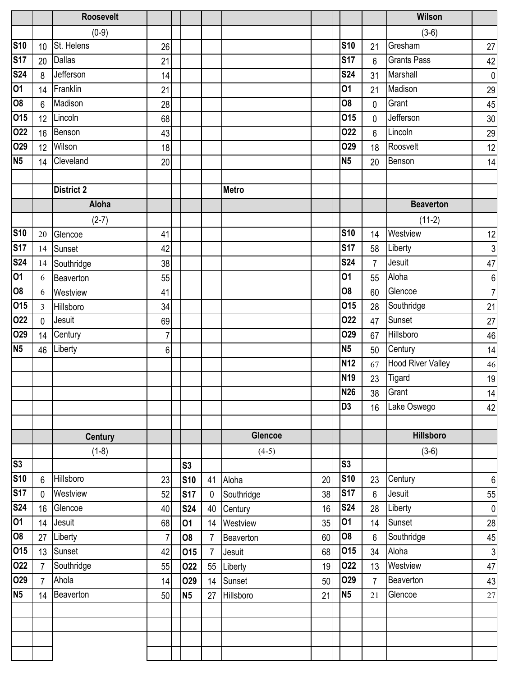|                |                | <b>Roosevelt</b>  |                |                |                |                |    |                 |                | Wilson                   |                  |
|----------------|----------------|-------------------|----------------|----------------|----------------|----------------|----|-----------------|----------------|--------------------------|------------------|
|                |                | $(0-9)$           |                |                |                |                |    |                 |                | $(3-6)$                  |                  |
| <b>S10</b>     | 10             | St. Helens        | 26             |                |                |                |    | <b>S10</b>      | 21             | Gresham                  | 27               |
| <b>S17</b>     | 20             | <b>Dallas</b>     | 21             |                |                |                |    | <b>S17</b>      | $6\phantom{.}$ | <b>Grants Pass</b>       | 42               |
| <b>S24</b>     | 8              | Jefferson         | 14             |                |                |                |    | <b>S24</b>      | 31             | Marshall                 | $\overline{0}$   |
| 01             | 14             | Franklin          | 21             |                |                |                |    | 01              | 21             | Madison                  | 29               |
| 08             | 6              | Madison           | 28             |                |                |                |    | 08              | $\pmb{0}$      | Grant                    | 45               |
| 015            | 12             | Lincoln           | 68             |                |                |                |    | 015             | $\pmb{0}$      | Jefferson                | 30 <sub>o</sub>  |
| 022            | 16             | Benson            | 43             |                |                |                |    | 022             | $6\phantom{1}$ | Lincoln                  | 29               |
| <b>O29</b>     | 12             | Wilson            | 18             |                |                |                |    | O <sub>29</sub> | 18             | Roosvelt                 | 12               |
| N <sub>5</sub> | 14             | Cleveland         | 20             |                |                |                |    | N <sub>5</sub>  | 20             | Benson                   | 14               |
|                |                |                   |                |                |                |                |    |                 |                |                          |                  |
|                |                | <b>District 2</b> |                |                |                | <b>Metro</b>   |    |                 |                |                          |                  |
|                |                | Aloha             |                |                |                |                |    |                 |                | <b>Beaverton</b>         |                  |
|                |                | $(2-7)$           |                |                |                |                |    |                 |                | $(11-2)$                 |                  |
| <b>S10</b>     | 20             | Glencoe           | 41             |                |                |                |    | <b>S10</b>      | 14             | Westview                 | 12               |
| <b>S17</b>     | 14             | Sunset            | 42             |                |                |                |    | <b>S17</b>      | 58             | Liberty                  | 3                |
| <b>S24</b>     | 14             | Southridge        | 38             |                |                |                |    | <b>S24</b>      | $\overline{7}$ | Jesuit                   | 47               |
| 01             | 6              | Beaverton         | 55             |                |                |                |    | 01              | 55             | Aloha                    | $\boldsymbol{6}$ |
| <b>O8</b>      | 6              | Westview          | 41             |                |                |                |    | 08              | 60             | Glencoe                  | $\overline{7}$   |
| 015            | 3              | Hillsboro         | 34             |                |                |                |    | 015             | 28             | Southridge               | 21               |
| 022            | $\mathbf 0$    | Jesuit            | 69             |                |                |                |    | 022             | 47             | Sunset                   | 27               |
| 029            | 14             | Century           | 7              |                |                |                |    | O <sub>29</sub> | 67             | Hillsboro                | 46               |
| N <sub>5</sub> | 46             | Liberty           | 6              |                |                |                |    | <b>N5</b>       | 50             | Century                  | 14               |
|                |                |                   |                |                |                |                |    | <b>N12</b>      | 67             | <b>Hood River Valley</b> | 46               |
|                |                |                   |                |                |                |                |    | <b>N19</b>      | 23             | Tigard                   | 19               |
|                |                |                   |                |                |                |                |    | <b>N26</b>      | 38             | Grant                    | 14               |
|                |                |                   |                |                |                |                |    | D <sub>3</sub>  | 16             | Lake Oswego              | 42               |
|                |                |                   |                |                |                |                |    |                 |                |                          |                  |
|                |                | <b>Century</b>    |                |                |                | <b>Glencoe</b> |    |                 |                | <b>Hillsboro</b>         |                  |
|                |                | $(1-8)$           |                |                |                | $(4-5)$        |    |                 |                | $(3-6)$                  |                  |
| S3             |                |                   |                | S <sub>3</sub> |                |                |    | S <sub>3</sub>  |                |                          |                  |
| <b>S10</b>     | 6              | Hillsboro         | 23             | <b>S10</b>     | 41             | Aloha          | 20 | <b>S10</b>      | 23             | Century                  | 6                |
| <b>S17</b>     | $\mathbf 0$    | Westview          | 52             | <b>S17</b>     | $\mathbf 0$    | Southridge     | 38 | <b>S17</b>      | $6\phantom{1}$ | Jesuit                   | 55               |
| <b>S24</b>     | 16             | Glencoe           | 40             | <b>S24</b>     | 40             | Century        | 16 | <b>S24</b>      | 28             | Liberty                  | $\overline{0}$   |
| 01             | 14             | Jesuit            | 68             | 01             | 14             | Westview       | 35 | 01              | 14             | Sunset                   | 28               |
| <b>O8</b>      | 27             | Liberty           | $\overline{7}$ | 08             | $\overline{7}$ | Beaverton      | 60 | 08              | $6\phantom{a}$ | Southridge               | 45               |
| 015            | 13             | Sunset            | 42             | 015            | $\overline{7}$ | Jesuit         | 68 | 015             | 34             | Aloha                    | 3                |
| 022            | $\overline{7}$ | Southridge        | 55             | 022            | 55             | Liberty        | 19 | 022             | 13             | Westview                 | 47               |
| <b>O29</b>     | $\overline{7}$ | Ahola             | 14             | <b>O29</b>     | 14             | Sunset         | 50 | 029             | $\overline{7}$ | Beaverton                | 43               |
| N <sub>5</sub> | 14             | Beaverton         | 50             | N <sub>5</sub> | 27             | Hillsboro      | 21 | <b>N5</b>       | 21             | Glencoe                  | $27\,$           |
|                |                |                   |                |                |                |                |    |                 |                |                          |                  |
|                |                |                   |                |                |                |                |    |                 |                |                          |                  |
|                |                |                   |                |                |                |                |    |                 |                |                          |                  |
|                |                |                   |                |                |                |                |    |                 |                |                          |                  |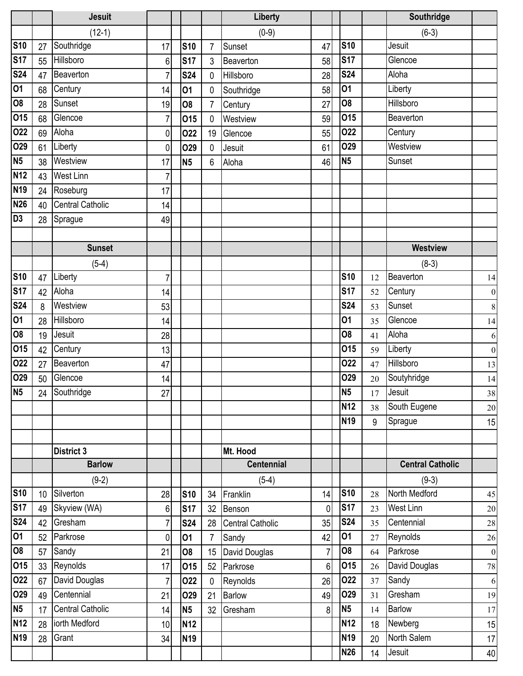|                 |                 | <b>Jesuit</b>           |                 |                 |                | Liberty           |                |                 |    | Southridge              |                  |
|-----------------|-----------------|-------------------------|-----------------|-----------------|----------------|-------------------|----------------|-----------------|----|-------------------------|------------------|
|                 |                 | $(12-1)$                |                 |                 |                | $(0-9)$           |                |                 |    | $(6-3)$                 |                  |
| <b>S10</b>      | 27              | Southridge              | 17              | <b>S10</b>      | $\overline{7}$ | Sunset            | 47             | <b>S10</b>      |    | Jesuit                  |                  |
| <b>S17</b>      | 55              | Hillsboro               | 6               | <b>S17</b>      | 3              | Beaverton         | 58             | <b>S17</b>      |    | Glencoe                 |                  |
| <b>S24</b>      | 47              | Beaverton               | 7               | <b>S24</b>      | 0              | Hillsboro         | 28             | <b>S24</b>      |    | Aloha                   |                  |
| 01              | 68              | Century                 | 14              | 01              | 0              | Southridge        | 58             | 01              |    | Liberty                 |                  |
| <b>O8</b>       | 28              | Sunset                  | 19              | <b>O8</b>       | $\overline{7}$ | Century           | 27             | 08              |    | Hillsboro               |                  |
| 015             | 68              | Glencoe                 | 7               | 015             | 0              | Westview          | 59             | 015             |    | Beaverton               |                  |
| 022             | 69              | Aloha                   | 0               | 022             | 19             | Glencoe           | 55             | 022             |    | Century                 |                  |
| 029             | 61              | Liberty                 | 0               | <b>O29</b>      | $\mathbf 0$    | Jesuit            | 61             | O29             |    | Westview                |                  |
| N <sub>5</sub>  | 38              | Westview                | 17              | N <sub>5</sub>  | 6              | Aloha             | 46             | N <sub>5</sub>  |    | Sunset                  |                  |
| <b>N12</b>      | 43              | <b>West Linn</b>        | 7               |                 |                |                   |                |                 |    |                         |                  |
| N <sub>19</sub> | 24              | Roseburg                | 17              |                 |                |                   |                |                 |    |                         |                  |
| <b>N26</b>      | 40              | <b>Central Catholic</b> | 14              |                 |                |                   |                |                 |    |                         |                  |
| D <sub>3</sub>  | 28              | Sprague                 | 49              |                 |                |                   |                |                 |    |                         |                  |
|                 |                 |                         |                 |                 |                |                   |                |                 |    |                         |                  |
|                 |                 | <b>Sunset</b>           |                 |                 |                |                   |                |                 |    | <b>Westview</b>         |                  |
|                 |                 | $(5-4)$                 |                 |                 |                |                   |                |                 |    | $(8-3)$                 |                  |
| <b>S10</b>      | 47              | Liberty                 | 7               |                 |                |                   |                | <b>S10</b>      | 12 | Beaverton               | 14               |
| <b>S17</b>      | 42              | Aloha                   | 14              |                 |                |                   |                | <b>S17</b>      | 52 | Century                 | $\boldsymbol{0}$ |
| <b>S24</b>      | 8               | Westview                | 53              |                 |                |                   |                | <b>S24</b>      | 53 | Sunset                  | $\,8\,$          |
| 01              | 28              | Hillsboro               | 14              |                 |                |                   |                | 01              | 35 | Glencoe                 | 14               |
| <b>O8</b>       | 19              | Jesuit                  | 28              |                 |                |                   |                | 08              | 41 | Aloha                   | 6                |
| 015             | 42              | Century                 | 13              |                 |                |                   |                | 015             | 59 | Liberty                 | $\vert 0 \vert$  |
| 022             | 27              | Beaverton               | 47              |                 |                |                   |                | 022             | 47 | Hillsboro               | 13               |
| O <sub>29</sub> | 50              | Glencoe                 | 14              |                 |                |                   |                | O29             | 20 | Soutyhridge             | 14               |
| <b>N5</b>       |                 | 24 Southridge           | 27              |                 |                |                   |                | N <sub>5</sub>  | 17 | Jesuit                  | $38\,$           |
|                 |                 |                         |                 |                 |                |                   |                | N <sub>12</sub> | 38 | South Eugene            | 20               |
|                 |                 |                         |                 |                 |                |                   |                | N <sub>19</sub> | 9  | Sprague                 | 15               |
|                 |                 |                         |                 |                 |                |                   |                |                 |    |                         |                  |
|                 |                 | <b>District 3</b>       |                 |                 |                | Mt. Hood          |                |                 |    |                         |                  |
|                 |                 | <b>Barlow</b>           |                 |                 |                | <b>Centennial</b> |                |                 |    | <b>Central Catholic</b> |                  |
|                 |                 | $(9-2)$                 |                 |                 |                | $(5-4)$           |                |                 |    | $(9-3)$                 |                  |
| <b>S10</b>      | 10 <sup>°</sup> | Silverton               | 28              | <b>S10</b>      | 34             | Franklin          | 14             | <b>S10</b>      | 28 | North Medford           | 45               |
| <b>S17</b>      | 49              | Skyview (WA)            | $6\overline{6}$ | <b>S17</b>      | 32             | Benson            | $\overline{0}$ | <b>S17</b>      | 23 | <b>West Linn</b>        | 20               |
| <b>S24</b>      | 42              | Gresham                 | $\overline{7}$  | <b>S24</b>      | 28             | Central Catholic  | 35             | <b>S24</b>      | 35 | Centennial              | $28\,$           |
| 01              | 52              | Parkrose                | 0               | 01              | $\overline{7}$ | Sandy             | 42             | 01              | 27 | Reynolds                | 26               |
| 08              | 57              | Sandy                   | 21              | 08              | 15             | David Douglas     | $\overline{7}$ | O <sub>8</sub>  | 64 | Parkrose                | $\boldsymbol{0}$ |
| 015             | 33              | Reynolds                | 17              | 015             | 52             | Parkrose          | 6 <sup>1</sup> | 015             | 26 | David Douglas           | $78\,$           |
| 022             | 67              | David Douglas           | 7               | 022             | $\mathbf{0}$   | Reynolds          | 26             | 022             | 37 | Sandy                   | 6                |
| O <sub>29</sub> | 49              | Centennial              | 21              | <b>O29</b>      | 21             | <b>Barlow</b>     | 49             | O29             | 31 | Gresham                 | 19               |
| <b>N5</b>       | 17              | <b>Central Catholic</b> | 14              | <b>N5</b>       | 32             | Gresham           | 8 <sup>1</sup> | N <sub>5</sub>  | 14 | <b>Barlow</b>           | 17               |
| <b>N12</b>      | 28              | iorth Medford           | 10              | N <sub>12</sub> |                |                   |                | N <sub>12</sub> | 18 | Newberg                 | 15               |
| <b>N19</b>      | 28              | Grant                   | 34              | N <sub>19</sub> |                |                   |                | N <sub>19</sub> | 20 | North Salem             | 17               |
|                 |                 |                         |                 |                 |                |                   |                | <b>N26</b>      | 14 | Jesuit                  | 40               |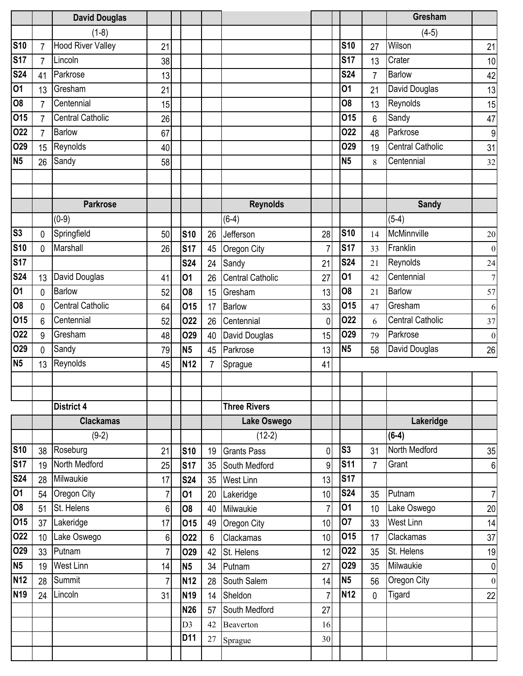|                          |                | <b>David Douglas</b>     |                |                         |                |                          |                      |                  |                | Gresham                         |                           |
|--------------------------|----------------|--------------------------|----------------|-------------------------|----------------|--------------------------|----------------------|------------------|----------------|---------------------------------|---------------------------|
|                          |                | $(1-8)$                  |                |                         |                |                          |                      |                  |                | $(4-5)$                         |                           |
| <b>S10</b>               | 7              | <b>Hood River Valley</b> | 21             |                         |                |                          |                      | <b>S10</b>       | 27             | Wilson                          | 21                        |
| <b>S17</b>               | $\overline{7}$ | Lincoln                  | 38             |                         |                |                          |                      | <b>S17</b>       | 13             | Crater                          | 10                        |
| <b>S24</b>               | 41             | Parkrose                 | 13             |                         |                |                          |                      | <b>S24</b>       | $\overline{7}$ | Barlow                          | 42                        |
| 01                       | 13             | Gresham                  | 21             |                         |                |                          |                      | 01               | 21             | David Douglas                   | 13                        |
| $\overline{\text{SO}}$   | $\overline{7}$ | Centennial               | 15             |                         |                |                          |                      | 08               | 13             | Reynolds                        | 15                        |
| 015                      | $\overline{7}$ | <b>Central Catholic</b>  | 26             |                         |                |                          |                      | 015              | 6              | Sandy                           | 47                        |
| 022                      | 7              | <b>Barlow</b>            | 67             |                         |                |                          |                      | 022              | 48             | Parkrose                        | 9                         |
| 029                      | 15             | Reynolds                 | 40             |                         |                |                          |                      | O <sub>29</sub>  | 19             | <b>Central Catholic</b>         | 31                        |
| N <sub>5</sub>           | 26             | Sandy                    | 58             |                         |                |                          |                      | <b>N5</b>        | 8              | Centennial                      | 32                        |
|                          |                |                          |                |                         |                |                          |                      |                  |                |                                 |                           |
|                          |                |                          |                |                         |                |                          |                      |                  |                |                                 |                           |
|                          |                | <b>Parkrose</b>          |                |                         |                | <b>Reynolds</b>          |                      |                  |                | <b>Sandy</b>                    |                           |
|                          |                | $(0-9)$                  |                |                         |                | $(6-4)$                  |                      |                  |                | $(5-4)$                         |                           |
| $\overline{\text{S3}}$   | 0              | Springfield              | 50             | <b>S10</b>              | 26             | Jefferson                | 28                   | <b>S10</b>       | 14             | McMinnville                     | $20\,$                    |
| <b>S10</b>               | 0              | Marshall                 | 26             | <b>S17</b>              | 45             | Oregon City              | 7                    | <b>S17</b>       | 33             | Franklin                        | $\overline{0}$            |
| <b>S17</b>               |                |                          |                | <b>S24</b>              | 24             | Sandy                    | 21                   | <b>S24</b>       | 21             | Reynolds                        | 24                        |
| $\overline{\text{S}}$ 24 | 13             | David Douglas            | 41             | 01                      | 26             | <b>Central Catholic</b>  | 27                   | 01               | 42             | Centennial                      | $7\overline{ }$           |
| 01                       | 0              | <b>Barlow</b>            | 52             | 08                      | 15             | Gresham                  | 13                   | O <sub>8</sub>   | 21             | Barlow                          | 57                        |
| <b>O8</b>                | 0              | <b>Central Catholic</b>  | 64             | 015                     | 17             | <b>Barlow</b>            | 33                   | 015              | 47             | Gresham                         | 6                         |
| 015                      | 6              | Centennial               | 52             | 022                     | 26             | Centennial               | $\mathbf{0}$         | 022              | 6              | <b>Central Catholic</b>         | 37                        |
| 022                      | 9              | Gresham                  | 48             | <b>O29</b>              | 40             | David Douglas            | 15                   | <b>O29</b>       | 79             | Parkrose                        | $\vert 0 \vert$           |
| 029                      | 0              | Sandy                    | 79             | <b>N5</b>               | 45             | Parkrose                 | 13                   | <b>N5</b>        | 58             | David Douglas                   | 26                        |
| <b>N5</b>                | 13             | Reynolds                 | 45             | <b>N12</b>              | $\overline{7}$ | Sprague                  | 41                   |                  |                |                                 |                           |
|                          |                |                          |                |                         |                |                          |                      |                  |                |                                 |                           |
|                          |                |                          |                |                         |                |                          |                      |                  |                |                                 |                           |
|                          |                | District 4               |                |                         |                | <b>Three Rivers</b>      |                      |                  |                |                                 |                           |
|                          |                | <b>Clackamas</b>         |                |                         |                | Lake Oswego              |                      |                  |                | Lakeridge                       |                           |
|                          |                | $(9-2)$                  |                |                         |                | $(12-2)$                 |                      |                  |                | $(6-4)$                         |                           |
| <b>S10</b>               | 38             | Roseburg                 | 21             | <b>S10</b>              | 19             | <b>Grants Pass</b>       | 0                    | S <sub>3</sub>   | 31             | North Medford                   | 35                        |
| <b>S17</b>               | 19             | North Medford            | 25             | <b>S17</b>              | 35             | South Medford            | 9                    | <b>S11</b>       | $\overline{7}$ | Grant                           | $6 \mid$                  |
| <b>S24</b>               | 28             | Milwaukie                | 17             | <b>S24</b>              | 35             | <b>West Linn</b>         | 13                   | <b>S17</b>       |                |                                 |                           |
| $\overline{01}$          | 54             | Oregon City              | 7              | 01                      | 20             | Lakeridge                | 10                   | <b>S24</b><br>01 | 35             | Putnam                          | 7                         |
| $\overline{80}$<br>015   | 51             | St. Helens               | $6\phantom{.}$ | 08                      | 40             | Milwaukie                | $\overline{7}$       | 07               | 10             | Lake Oswego<br><b>West Linn</b> | 20                        |
| 022                      | 37             | Lakeridge<br>Lake Oswego | 17             | 015                     | 49             | Oregon City              | 10                   | 015              | 33             | Clackamas                       | 14                        |
| 029                      | 10             | Putnam                   | $6\phantom{.}$ | 022                     | $6\phantom{.}$ | Clackamas                | 10                   | 022              | 17             | St. Helens                      | 37                        |
| N <sub>5</sub>           | 33             | West Linn                | 7              | O29                     | 42             | St. Helens               | 12                   | 029              | 35             | Milwaukie                       | 19                        |
| <b>N12</b>               | 19             | Summit                   | 14             | <b>N5</b><br><b>N12</b> | 34             | Putnam                   | 27                   | N <sub>5</sub>   | 35             | Oregon City                     | $\overline{0}$<br>$\vert$ |
| <b>N19</b>               | 28             | Lincoln                  | $\overline{7}$ |                         | 28             | South Salem              | 14<br>$\overline{7}$ | <b>N12</b>       | 56             | Tigard                          |                           |
|                          | 24             |                          | 31             | <b>N19</b>              | 14             | Sheldon<br>South Medford | 27                   |                  | $\mathbf 0$    |                                 | 22                        |
|                          |                |                          |                | <b>N26</b>              | 57             |                          |                      |                  |                |                                 |                           |
|                          |                |                          |                | D <sub>3</sub><br>D11   | 42             | Beaverton                | 16                   |                  |                |                                 |                           |
|                          |                |                          |                |                         | 27             | Sprague                  | 30                   |                  |                |                                 |                           |
|                          |                |                          |                |                         |                |                          |                      |                  |                |                                 |                           |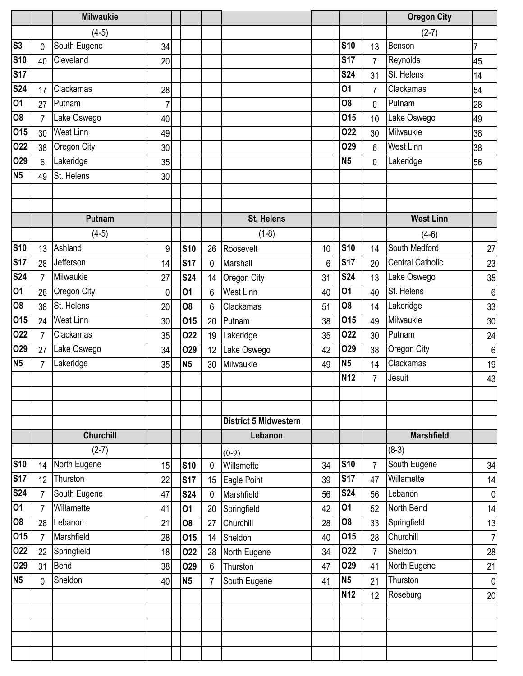|                        |                | <b>Milwaukie</b> |                |                 |                |                              |    |                |                | <b>Oregon City</b>      |                  |
|------------------------|----------------|------------------|----------------|-----------------|----------------|------------------------------|----|----------------|----------------|-------------------------|------------------|
|                        |                | $(4-5)$          |                |                 |                |                              |    |                |                | $(2-7)$                 |                  |
| S <sub>3</sub>         | 0              | South Eugene     | 34             |                 |                |                              |    | <b>S10</b>     | 13             | Benson                  | $\overline{7}$   |
| <b>S10</b>             | 40             | Cleveland        | 20             |                 |                |                              |    | <b>S17</b>     | $\overline{7}$ | Reynolds                | 45               |
| <b>S17</b>             |                |                  |                |                 |                |                              |    | <b>S24</b>     | 31             | St. Helens              | 14               |
| <b>S24</b>             | 17             | Clackamas        | 28             |                 |                |                              |    | 01             | $\overline{7}$ | Clackamas               | 54               |
| 01                     | 27             | Putnam           | $\overline{7}$ |                 |                |                              |    | O <sub>8</sub> | 0              | Putnam                  | 28               |
| $\overline{\text{SO}}$ | $\overline{7}$ | Lake Oswego      | 40             |                 |                |                              |    | 015            | 10             | Lake Oswego             | 49               |
| 015                    | 30             | <b>West Linn</b> | 49             |                 |                |                              |    | 022            | 30             | Milwaukie               | 38               |
| 022                    | 38             | Oregon City      | 30             |                 |                |                              |    | <b>O29</b>     | 6              | <b>West Linn</b>        | 38               |
| 029                    | 6              | Lakeridge        | 35             |                 |                |                              |    | <b>N5</b>      | $\mathbf{0}$   | Lakeridge               | 56               |
| <b>N5</b>              | 49             | St. Helens       | 30             |                 |                |                              |    |                |                |                         |                  |
|                        |                |                  |                |                 |                |                              |    |                |                |                         |                  |
|                        |                |                  |                |                 |                |                              |    |                |                |                         |                  |
|                        |                | Putnam           |                |                 |                | <b>St. Helens</b>            |    |                |                | <b>West Linn</b>        |                  |
|                        |                | $(4-5)$          |                |                 |                | $(1-8)$                      |    |                |                | $(4-6)$                 |                  |
| <b>S10</b>             | 13             | Ashland          | 9              | <b>S10</b>      | 26             | Roosevelt                    | 10 | <b>S10</b>     | 14             | South Medford           | 27               |
| <b>S17</b>             | 28             | Jefferson        | 14             | <b>S17</b>      | 0              | Marshall                     | 6  | <b>S17</b>     | 20             | <b>Central Catholic</b> | 23               |
| <b>S24</b>             | $\overline{7}$ | Milwaukie        | 27             | <b>S24</b>      | 14             | Oregon City                  | 31 | <b>S24</b>     | 13             | Lake Oswego             | 35               |
| 01                     | 28             | Oregon City      | 0              | 01              | 6              | <b>West Linn</b>             | 40 | 01             | 40             | St. Helens              | $\boldsymbol{6}$ |
| $\overline{08}$        | 38             | St. Helens       | 20             | 08              | 6              | Clackamas                    | 51 | 08             | 14             | Lakeridge               | 33               |
| 015                    | 24             | <b>West Linn</b> | 30             | 015             | 20             | Putnam                       | 38 | 015            | 49             | Milwaukie               | 30               |
| 022                    | $\overline{7}$ | Clackamas        | 35             | 022             | 19             | Lakeridge                    | 35 | 022            | 30             | Putnam                  | 24               |
| 029                    | 27             | Lake Oswego      | 34             | O <sub>29</sub> | 12             | Lake Oswego                  | 42 | <b>O29</b>     | 38             | Oregon City             | $\,6$            |
| <b>N5</b>              | $\overline{7}$ | Lakeridge        | 35             | <b>N5</b>       | 30             | Milwaukie                    | 49 | N <sub>5</sub> | 14             | Clackamas               | 19               |
|                        |                |                  |                |                 |                |                              |    | <b>N12</b>     | $\overline{7}$ | Jesuit                  | 43               |
|                        |                |                  |                |                 |                |                              |    |                |                |                         |                  |
|                        |                |                  |                |                 |                |                              |    |                |                |                         |                  |
|                        |                |                  |                |                 |                | <b>District 5 Midwestern</b> |    |                |                |                         |                  |
|                        |                | <b>Churchill</b> |                |                 |                | Lebanon                      |    |                |                | <b>Marshfield</b>       |                  |
|                        |                | $(2-7)$          |                |                 |                | $(0-9)$                      |    |                |                | $(8-3)$                 |                  |
| <b>S10</b>             | 14             | North Eugene     | 15             | <b>S10</b>      | $\mathbf 0$    | Willsmette                   | 34 | <b>S10</b>     | $\overline{7}$ | South Eugene            | 34               |
| <b>S17</b>             | 12             | Thurston         | 22             | <b>S17</b>      | 15             | Eagle Point                  | 39 | <b>S17</b>     | 47             | Willamette              | 14               |
| <b>S24</b>             | $\overline{7}$ | South Eugene     | 47             | <b>S24</b>      | 0              | Marshfield                   | 56 | <b>S24</b>     | 56             | Lebanon                 | $\pmb{0}$        |
| $\overline{01}$        | $\overline{7}$ | Willamette       | 41             | 01              | 20             | Springfield                  | 42 | 01             | 52             | North Bend              | 14               |
| $\overline{60}$        | 28             | Lebanon          | 21             | 08              | 27             | Churchill                    | 28 | <b>O8</b>      | 33             | Springfield             | 13               |
| 015                    | $\overline{7}$ | Marshfield       | 28             | 015             | 14             | Sheldon                      | 40 | 015            | 28             | Churchill               | $\overline{7}$   |
| 022                    | 22             | Springfield      | 18             | 022             | 28             | North Eugene                 | 34 | 022            | $\overline{7}$ | Sheldon                 | 28               |
| 029                    | 31             | Bend             | 38             | 029             | $6\phantom{.}$ | Thurston                     | 47 | 029            | 41             | North Eugene            | 21               |
| <b>N5</b>              | $\mathbf{0}$   | Sheldon          | 40             | <b>N5</b>       | $\overline{7}$ | South Eugene                 | 41 | N <sub>5</sub> | 21             | Thurston                | $\pmb{0}$        |
|                        |                |                  |                |                 |                |                              |    | <b>N12</b>     | 12             | Roseburg                | 20               |
|                        |                |                  |                |                 |                |                              |    |                |                |                         |                  |
|                        |                |                  |                |                 |                |                              |    |                |                |                         |                  |
|                        |                |                  |                |                 |                |                              |    |                |                |                         |                  |
|                        |                |                  |                |                 |                |                              |    |                |                |                         |                  |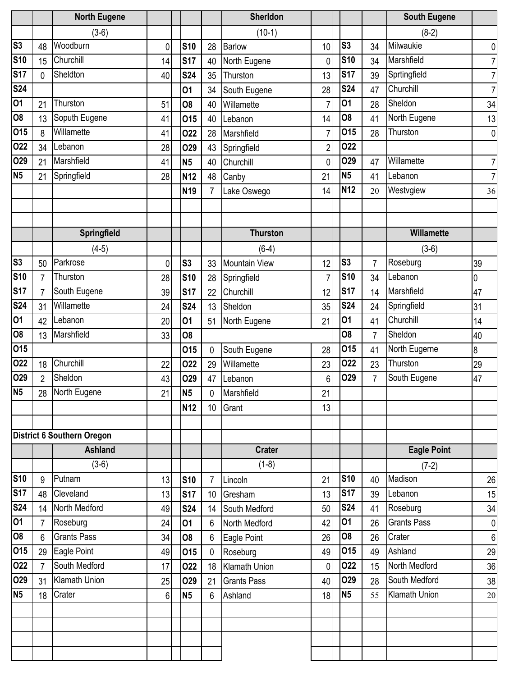|                |                | <b>North Eugene</b>        |    |                 |                 | Sherldon             |                |                |                | <b>South Eugene</b> |                  |
|----------------|----------------|----------------------------|----|-----------------|-----------------|----------------------|----------------|----------------|----------------|---------------------|------------------|
|                |                | $(3-6)$                    |    |                 |                 | $(10-1)$             |                |                |                | $(8-2)$             |                  |
| S3             | 48             | Woodburn                   | 0  | <b>S10</b>      | 28              | <b>Barlow</b>        | 10             | S <sub>3</sub> | 34             | Milwaukie           | 0                |
| <b>S10</b>     | 15             | Churchill                  | 14 | <b>S17</b>      | 40              | North Eugene         | 0              | <b>S10</b>     | 34             | Marshfield          | 7                |
| <b>S17</b>     | 0              | Sheldton                   | 40 | <b>S24</b>      | 35              | Thurston             | 13             | <b>S17</b>     | 39             | Sprtingfield        | 7                |
| <b>S24</b>     |                |                            |    | 01              | 34              | South Eugene         | 28             | <b>S24</b>     | 47             | Churchill           | 7                |
| 01             | 21             | Thurston                   | 51 | 08              | 40              | Willamette           | $\overline{7}$ | 01             | 28             | Sheldon             | 34               |
| <b>O8</b>      | 13             | Soputh Eugene              | 41 | 015             | 40              | Lebanon              | 14             | 08             | 41             | North Eugene        | 13               |
| 015            | 8              | Willamette                 | 41 | 022             | 28              | Marshfield           | $\overline{7}$ | 015            | 28             | Thurston            | 0                |
| 022            | 34             | Lebanon                    | 28 | <b>O29</b>      | 43              | Springfield          | $\overline{2}$ | 022            |                |                     |                  |
| O29            | 21             | Marshfield                 | 41 | N <sub>5</sub>  | 40              | Churchill            | 0              | O29            | 47             | Willamette          | 7                |
| <b>N5</b>      | 21             | Springfield                | 28 | <b>N12</b>      | 48              | Canby                | 21             | N <sub>5</sub> | 41             | Lebanon             | 7                |
|                |                |                            |    | <b>N19</b>      | $\overline{7}$  | Lake Oswego          | 14             | <b>N12</b>     | 20             | Westvgiew           | 36               |
|                |                |                            |    |                 |                 |                      |                |                |                |                     |                  |
|                |                |                            |    |                 |                 |                      |                |                |                |                     |                  |
|                |                | Springfield                |    |                 |                 | <b>Thurston</b>      |                |                |                | <b>Willamette</b>   |                  |
|                |                | $(4-5)$                    |    |                 |                 | $(6-4)$              |                |                |                | $(3-6)$             |                  |
| S <sub>3</sub> | 50             | Parkrose                   | 0  | S <sub>3</sub>  | 33              | <b>Mountain View</b> | 12             | S <sub>3</sub> | $\overline{7}$ | Roseburg            | 39               |
| <b>S10</b>     | 7              | Thurston                   | 28 | <b>S10</b>      | 28              | Springfield          | $\overline{7}$ | <b>S10</b>     | 34             | Lebanon             | $\overline{0}$   |
| <b>S17</b>     | $\overline{7}$ | South Eugene               | 39 | <b>S17</b>      | 22              | Churchill            | 12             | <b>S17</b>     | 14             | Marshfield          | 47               |
| <b>S24</b>     | 31             | Willamette                 | 24 | <b>S24</b>      | 13              | Sheldon              | 35             | <b>S24</b>     | 24             | Springfield         | 31               |
| 01             | 42             | Lebanon                    | 20 | 01              | 51              | North Eugene         | 21             | 01             | 41             | Churchill           | 14               |
| <b>O8</b>      | 13             | Marshfield                 | 33 | <b>O8</b>       |                 |                      |                | 08             | 7              | Sheldon             | 40               |
| 015            |                |                            |    | 015             | 0               | South Eugene         | 28             | 015            | 41             | North Eugerne       | $\boldsymbol{8}$ |
| 022            | 18             | Churchill                  | 22 | 022             | 29              | Willamette           | 23             | 022            | 23             | Thurston            | 29               |
| O29            | $\overline{2}$ | Sheldon                    | 43 | <b>O29</b>      | 47              | Lebanon              | 6              | O29            | 7              | South Eugene        | 47               |
| N <sub>5</sub> | 28             | North Eugene               | 21 | N <sub>5</sub>  | 0               | Marshfield           | 21             |                |                |                     |                  |
|                |                |                            |    | N <sub>12</sub> | 10 <sup>°</sup> | Grant                | 13             |                |                |                     |                  |
|                |                |                            |    |                 |                 |                      |                |                |                |                     |                  |
|                |                | District 6 Southern Oregon |    |                 |                 |                      |                |                |                |                     |                  |
|                |                | <b>Ashland</b>             |    |                 |                 | <b>Crater</b>        |                |                |                | <b>Eagle Point</b>  |                  |
|                |                | $(3-6)$                    |    |                 |                 | $(1-8)$              |                |                |                | $(7-2)$             |                  |
| <b>S10</b>     | 9              | Putnam                     | 13 | <b>S10</b>      | $\overline{7}$  | Lincoln              | 21             | <b>S10</b>     | 40             | Madison             | 26               |
| <b>S17</b>     | 48             | Cleveland                  | 13 | <b>S17</b>      | 10 <sup>°</sup> | Gresham              | 13             | <b>S17</b>     | 39             | Lebanon             | 15               |
| <b>S24</b>     | 14             | North Medford              | 49 | <b>S24</b>      | 14              | South Medford        | 50             | <b>S24</b>     | 41             | Roseburg            | 34               |
| 01             | $\overline{7}$ | Roseburg                   | 24 | 01              | 6               | North Medford        | 42             | 01             | 26             | <b>Grants Pass</b>  | $\overline{0}$   |
| 08             | 6              | <b>Grants Pass</b>         | 34 | O <sub>8</sub>  | $6\phantom{a}$  | Eagle Point          | 26             | 08             | 26             | Crater              | 6                |
| 015            | 29             | Eagle Point                | 49 | 015             | $\mathbf 0$     | Roseburg             | 49             | 015            | 49             | Ashland             | 29               |
| 022            | $\overline{7}$ | South Medford              | 17 | 022             | 18              | Klamath Union        | 0              | 022            | 15             | North Medford       | 36               |
| <b>O29</b>     | 31             | <b>Klamath Union</b>       | 25 | <b>O29</b>      | 21              | <b>Grants Pass</b>   | 40             | <b>O29</b>     | 28             | South Medford       | 38               |
| <b>N5</b>      | 18             | Crater                     | 6  | <b>N5</b>       | 6               | Ashland              | 18             | <b>N5</b>      | 55             | Klamath Union       | $20\,$           |
|                |                |                            |    |                 |                 |                      |                |                |                |                     |                  |
|                |                |                            |    |                 |                 |                      |                |                |                |                     |                  |
|                |                |                            |    |                 |                 |                      |                |                |                |                     |                  |
|                |                |                            |    |                 |                 |                      |                |                |                |                     |                  |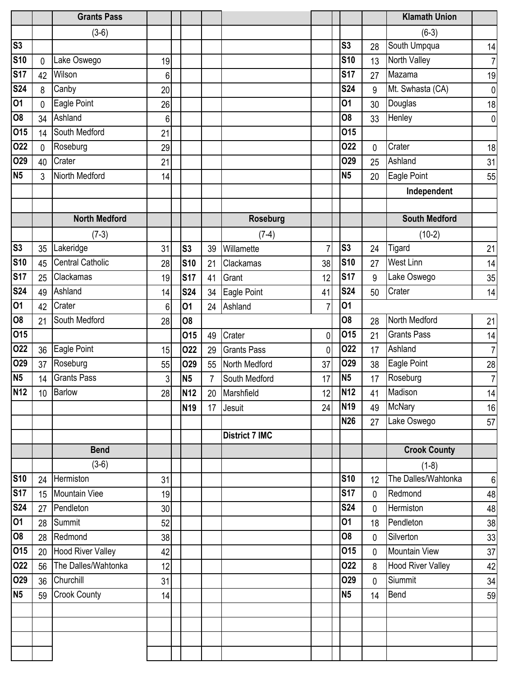|                 |              | <b>Grants Pass</b>       |    |                 |                |                       |             |                |             | <b>Klamath Union</b>     |                |
|-----------------|--------------|--------------------------|----|-----------------|----------------|-----------------------|-------------|----------------|-------------|--------------------------|----------------|
|                 |              | $(3-6)$                  |    |                 |                |                       |             |                |             | $(6-3)$                  |                |
| S <sub>3</sub>  |              |                          |    |                 |                |                       |             | S <sub>3</sub> | 28          | South Umpqua             | 14             |
| <b>S10</b>      | $\mathbf{0}$ | Lake Oswego              | 19 |                 |                |                       |             | <b>S10</b>     | 13          | North Valley             | 7              |
| <b>S17</b>      | 42           | Wilson                   | 6  |                 |                |                       |             | <b>S17</b>     | 27          | Mazama                   | 19             |
| <b>S24</b>      | 8            | Canby                    | 20 |                 |                |                       |             | <b>S24</b>     | 9           | Mt. Swhasta (CA)         | $\overline{0}$ |
| 01              | 0            | Eagle Point              | 26 |                 |                |                       |             | 01             | 30          | Douglas                  | 18             |
| $\overline{08}$ | 34           | Ashland                  | 6  |                 |                |                       |             | 08             | 33          | Henley                   | $\overline{0}$ |
| 015             | 14           | South Medford            | 21 |                 |                |                       |             | 015            |             |                          |                |
| 022             | 0            | Roseburg                 | 29 |                 |                |                       |             | 022            | 0           | Crater                   | 18             |
| O29             | 40           | Crater                   | 21 |                 |                |                       |             | O29            | 25          | Ashland                  | 31             |
| <b>N5</b>       | 3            | Niorth Medford           | 14 |                 |                |                       |             | <b>N5</b>      | 20          | Eagle Point              | 55             |
|                 |              |                          |    |                 |                |                       |             |                |             | Independent              |                |
|                 |              |                          |    |                 |                |                       |             |                |             |                          |                |
|                 |              | <b>North Medford</b>     |    |                 |                | <b>Roseburg</b>       |             |                |             | <b>South Medford</b>     |                |
|                 |              | $(7-3)$                  |    |                 |                | $(7-4)$               |             |                |             | $(10-2)$                 |                |
| S <sub>3</sub>  | 35           | Lakeridge                | 31 | S <sub>3</sub>  | 39             | Willamette            | 7           | S <sub>3</sub> | 24          | Tigard                   | 21             |
| <b>S10</b>      | 45           | <b>Central Catholic</b>  | 28 | <b>S10</b>      | 21             | Clackamas             | 38          | <b>S10</b>     | 27          | <b>West Linn</b>         | 14             |
| <b>S17</b>      | 25           | Clackamas                | 19 | <b>S17</b>      | 41             | Grant                 | 12          | <b>S17</b>     | 9           | Lake Oswego              | 35             |
| <b>S24</b>      | 49           | Ashland                  | 14 | <b>S24</b>      | 34             | Eagle Point           | 41          | <b>S24</b>     | 50          | Crater                   | 14             |
| 01              | 42           | Crater                   | 6  | 01              | 24             | Ashland               | 7           | 01             |             |                          |                |
| <b>O8</b>       | 21           | South Medford            | 28 | <b>O8</b>       |                |                       |             | O <sub>8</sub> | 28          | North Medford            | 21             |
| 015             |              |                          |    | 015             | 49             | Crater                | 0           | 015            | 21          | <b>Grants Pass</b>       | 14             |
| 022             | 36           | Eagle Point              | 15 | 022             | 29             | <b>Grants Pass</b>    | $\mathbf 0$ | 022            | 17          | Ashland                  | 7 <sup>1</sup> |
| O29             | 37           | Roseburg                 | 55 | <b>O29</b>      | 55             | North Medford         | 37          | O29            | 38          | Eagle Point              | 28             |
| <b>N5</b>       | 14           | <b>Grants Pass</b>       | 3  | <b>N5</b>       | $\overline{7}$ | South Medford         | 17          | <b>N5</b>      | 17          | Roseburg                 | 7 <sup>1</sup> |
| <b>N12</b>      |              | 10 Barlow                | 28 | <b>N12</b>      |                | 20 Marshfield         | 12          | <b>N12</b>     | 41          | Madison                  | 14             |
|                 |              |                          |    | N <sub>19</sub> |                | 17 Jesuit             | 24          | <b>N19</b>     | 49          | <b>McNary</b>            | 16             |
|                 |              |                          |    |                 |                |                       |             | <b>N26</b>     | 27          | Lake Oswego              | 57             |
|                 |              |                          |    |                 |                | <b>District 7 IMC</b> |             |                |             |                          |                |
|                 |              | <b>Bend</b>              |    |                 |                |                       |             |                |             | <b>Crook County</b>      |                |
|                 |              | $(3-6)$                  |    |                 |                |                       |             |                |             | $(1-8)$                  |                |
| <b>S10</b>      | 24           | Hermiston                | 31 |                 |                |                       |             | <b>S10</b>     | 12          | The Dalles/Wahtonka      | $6 \mid$       |
| <b>S17</b>      | 15           | Mountain Viee            | 19 |                 |                |                       |             | <b>S17</b>     | $\mathbf 0$ | Redmond                  | 48             |
| <b>S24</b>      | 27           | Pendleton                | 30 |                 |                |                       |             | <b>S24</b>     | $\mathbf 0$ | Hermiston                | 48             |
| $\overline{01}$ | 28           | Summit                   | 52 |                 |                |                       |             | 01             | 18          | Pendleton                | 38             |
| 08              | 28           | Redmond                  | 38 |                 |                |                       |             | O <sub>8</sub> | $\mathbf 0$ | Silverton                | 33             |
| 015             | 20           | <b>Hood River Valley</b> | 42 |                 |                |                       |             | 015            | $\mathbf 0$ | <b>Mountain View</b>     | 37             |
| 022             | 56           | The Dalles/Wahtonka      | 12 |                 |                |                       |             | 022            | 8           | <b>Hood River Valley</b> | 42             |
| 029             | 36           | Churchill                | 31 |                 |                |                       |             | O29            | 0           | Siummit                  | 34             |
| <b>N5</b>       | 59           | <b>Crook County</b>      | 14 |                 |                |                       |             | <b>N5</b>      | 14          | Bend                     | 59             |
|                 |              |                          |    |                 |                |                       |             |                |             |                          |                |
|                 |              |                          |    |                 |                |                       |             |                |             |                          |                |
|                 |              |                          |    |                 |                |                       |             |                |             |                          |                |
|                 |              |                          |    |                 |                |                       |             |                |             |                          |                |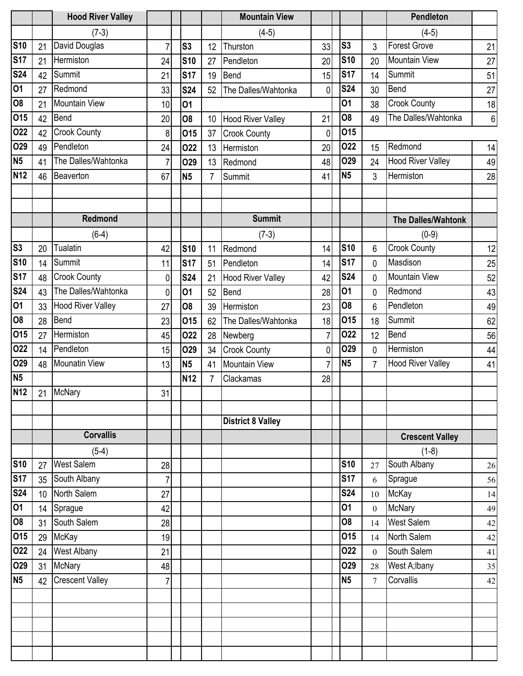|                 |                 | <b>Hood River Valley</b> |                |                |                 | <b>Mountain View</b>     |                |                |                 | Pendleton                 |                |
|-----------------|-----------------|--------------------------|----------------|----------------|-----------------|--------------------------|----------------|----------------|-----------------|---------------------------|----------------|
|                 |                 | $(7-3)$                  |                |                |                 | $(4-5)$                  |                |                |                 | $(4-5)$                   |                |
| <b>S10</b>      | 21              | David Douglas            | $\overline{7}$ | S <sub>3</sub> | 12              | Thurston                 | 33             | S <sub>3</sub> | 3               | <b>Forest Grove</b>       | 21             |
| <b>S17</b>      | 21              | Hermiston                | 24             | <b>S10</b>     | 27              | Pendleton                | 20             | <b>S10</b>     | 20              | <b>Mountain View</b>      | 27             |
| <b>S24</b>      | 42              | Summit                   | 21             | <b>S17</b>     | 19              | Bend                     | 15             | <b>S17</b>     | 14              | Summit                    | 51             |
| 01              | 27              | Redmond                  | 33             | <b>S24</b>     | 52              | The Dalles/Wahtonka      | 0              | <b>S24</b>     | 30              | Bend                      | 27             |
| <b>O8</b>       | 21              | Mountain View            | 10             | 01             |                 |                          |                | 01             | 38              | <b>Crook County</b>       | 18             |
| 015             | 42              | Bend                     | 20             | 08             | 10 <sup>1</sup> | <b>Hood River Valley</b> | 21             | <b>O8</b>      | 49              | The Dalles/Wahtonka       | 6 <sup>1</sup> |
| 022             | 42              | <b>Crook County</b>      | 8              | 015            | 37              | <b>Crook County</b>      | 0              | <b>015</b>     |                 |                           |                |
| O29             | 49              | Pendleton                | 24             | 022            | 13              | Hermiston                | 20             | 022            | 15              | Redmond                   | 14             |
| N <sub>5</sub>  | 41              | The Dalles/Wahtonka      | $\overline{7}$ | <b>O29</b>     | 13              | Redmond                  | 48             | <b>O29</b>     | 24              | <b>Hood River Valley</b>  | 49             |
| <b>N12</b>      | 46              | Beaverton                | 67             | <b>N5</b>      | 7               | Summit                   | 41             | N <sub>5</sub> | 3               | Hermiston                 | 28             |
|                 |                 |                          |                |                |                 |                          |                |                |                 |                           |                |
|                 |                 |                          |                |                |                 |                          |                |                |                 |                           |                |
|                 |                 | <b>Redmond</b>           |                |                |                 | <b>Summit</b>            |                |                |                 | <b>The Dalles/Wahtonk</b> |                |
|                 |                 | $(6-4)$                  |                |                |                 | $(7-3)$                  |                |                |                 | $(0-9)$                   |                |
| S <sub>3</sub>  | 20              | <b>Tualatin</b>          | 42             | <b>S10</b>     | 11              | Redmond                  | 14             | <b>S10</b>     | 6               | <b>Crook County</b>       | 12             |
| <b>S10</b>      | 14              | Summit                   | 11             | <b>S17</b>     | 51              | Pendleton                | 14             | <b>S17</b>     | 0               | Masdison                  | 25             |
| <b>S17</b>      | 48              | <b>Crook County</b>      | 0              | <b>S24</b>     | 21              | <b>Hood River Valley</b> | 42             | <b>S24</b>     | 0               | <b>Mountain View</b>      | 52             |
| <b>S24</b>      | 43              | The Dalles/Wahtonka      | 0              | 01             | 52              | <b>Bend</b>              | 28             | 01             | 0               | Redmond                   | 43             |
| 01              | 33              | <b>Hood River Valley</b> | 27             | 08             | 39              | Hermiston                | 23             | <b>O8</b>      | 6               | Pendleton                 | 49             |
| <b>O8</b>       | 28              | Bend                     | 23             | 015            | 62              | The Dalles/Wahtonka      | 18             | 015            | 18              | Summit                    | 62             |
| 015             | 27              | Hermiston                | 45             | 022            | 28              | Newberg                  | $\overline{7}$ | 022            | 12              | Bend                      | 56             |
| 022             | 14              | Pendleton                | 15             | <b>O29</b>     | 34              | <b>Crook County</b>      | $\mathbf{0}$   | <b>O29</b>     | 0               | Hermiston                 | 44             |
| O29             | 48              | <b>Mounatin View</b>     | 13             | <b>N5</b>      | 41              | <b>Mountain View</b>     | $\overline{7}$ | N <sub>5</sub> | $\overline{7}$  | <b>Hood River Valley</b>  | 41             |
| <b>N5</b>       |                 |                          |                | <b>N12</b>     | 7               | Clackamas                | 28             |                |                 |                           |                |
| <b>N12</b>      |                 | 21 McNary                | 31             |                |                 |                          |                |                |                 |                           |                |
|                 |                 |                          |                |                |                 |                          |                |                |                 |                           |                |
|                 |                 |                          |                |                |                 | <b>District 8 Valley</b> |                |                |                 |                           |                |
|                 |                 | <b>Corvallis</b>         |                |                |                 |                          |                |                |                 | <b>Crescent Valley</b>    |                |
|                 |                 | $(5-4)$                  |                |                |                 |                          |                |                |                 | $(1-8)$                   |                |
| <b>S10</b>      | 27              | <b>West Salem</b>        | 28             |                |                 |                          |                | <b>S10</b>     | 27              | South Albany              | 26             |
| <b>S17</b>      | 35              | South Albany             | $\overline{7}$ |                |                 |                          |                | <b>S17</b>     | 6               | Sprague                   | 56             |
| <b>S24</b>      | 10 <sup>°</sup> | North Salem              | 27             |                |                 |                          |                | <b>S24</b>     | 10              | McKay                     | 14             |
| $\overline{01}$ | 14              | Sprague                  | 42             |                |                 |                          |                | 01             | $\theta$        | McNary                    | 49             |
| O <sub>8</sub>  | 31              | South Salem              | 28             |                |                 |                          |                | <b>O8</b>      | 14              | <b>West Salem</b>         | 42             |
| 015             | 29              | <b>McKay</b>             | 19             |                |                 |                          |                | 015            | 14              | North Salem               | 42             |
| 022             | 24              | <b>West Albany</b>       | 21             |                |                 |                          |                | 022            | $\mathbf{0}$    | South Salem               | 41             |
| <b>O29</b>      | 31              | <b>McNary</b>            | 48             |                |                 |                          |                | <b>O29</b>     | 28              | West A; Ibany             | 35             |
| <b>N5</b>       | 42              | <b>Crescent Valley</b>   | 7              |                |                 |                          |                | <b>N5</b>      | $7\overline{ }$ | Corvallis                 | 42             |
|                 |                 |                          |                |                |                 |                          |                |                |                 |                           |                |
|                 |                 |                          |                |                |                 |                          |                |                |                 |                           |                |
|                 |                 |                          |                |                |                 |                          |                |                |                 |                           |                |
|                 |                 |                          |                |                |                 |                          |                |                |                 |                           |                |
|                 |                 |                          |                |                |                 |                          |                |                |                 |                           |                |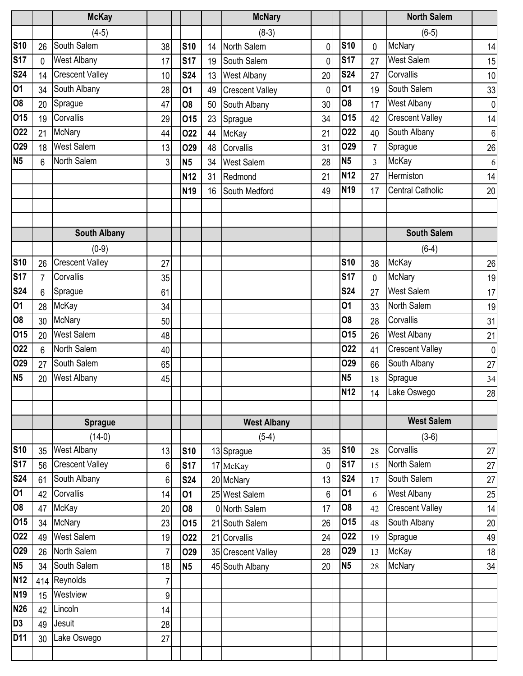|                        |                | <b>McKay</b>           |                |                |    | <b>McNary</b>          |              |                 |                | <b>North Salem</b>      |                  |
|------------------------|----------------|------------------------|----------------|----------------|----|------------------------|--------------|-----------------|----------------|-------------------------|------------------|
|                        |                | $(4-5)$                |                |                |    | $(8-3)$                |              |                 |                | $(6-5)$                 |                  |
| <b>S10</b>             | 26             | South Salem            | 38             | <b>S10</b>     | 14 | North Salem            | $\mathbf 0$  | <b>S10</b>      | $\mathbf 0$    | <b>McNary</b>           | 14               |
| <b>S17</b>             | 0              | West Albany            | 17             | <b>S17</b>     | 19 | South Salem            | $\mathbf{0}$ | <b>S17</b>      | 27             | <b>West Salem</b>       | 15               |
| <b>S24</b>             | 14             | Crescent Valley        | 10             | <b>S24</b>     | 13 | <b>West Albany</b>     | 20           | <b>S24</b>      | 27             | Corvallis               | 10               |
| 01                     | 34             | South Albany           | 28             | 01             | 49 | <b>Crescent Valley</b> | $\mathbf{0}$ | 01              | 19             | South Salem             | 33               |
| $\overline{\text{SO}}$ | 20             | Sprague                | 47             | 08             | 50 | South Albany           | 30           | O <sub>8</sub>  | 17             | <b>West Albany</b>      | $\overline{0}$   |
| 015                    | 19             | Corvallis              | 29             | <b>015</b>     | 23 | Sprague                | 34           | 015             | 42             | <b>Crescent Valley</b>  | 14               |
| 022                    | 21             | <b>McNary</b>          | 44             | 022            | 44 | McKay                  | 21           | 022             | 40             | South Albany            | $\boldsymbol{6}$ |
| 029                    | 18             | <b>West Salem</b>      | 13             | <b>O29</b>     | 48 | Corvallis              | 31           | <b>O29</b>      | $\overline{7}$ | Sprague                 | 26               |
| N <sub>5</sub>         | 6              | North Salem            | 3 <sup>1</sup> | N <sub>5</sub> | 34 | <b>West Salem</b>      | 28           | N <sub>5</sub>  | 3              | McKay                   | 6                |
|                        |                |                        |                | <b>N12</b>     | 31 | Redmond                | 21           | <b>N12</b>      | 27             | Hermiston               | 14               |
|                        |                |                        |                | <b>N19</b>     | 16 | South Medford          | 49           | <b>N19</b>      | 17             | <b>Central Catholic</b> | 20               |
|                        |                |                        |                |                |    |                        |              |                 |                |                         |                  |
|                        |                |                        |                |                |    |                        |              |                 |                |                         |                  |
|                        |                | <b>South Albany</b>    |                |                |    |                        |              |                 |                | <b>South Salem</b>      |                  |
|                        |                | $(0-9)$                |                |                |    |                        |              |                 |                | $(6-4)$                 |                  |
| <b>S10</b>             | 26             | <b>Crescent Valley</b> | 27             |                |    |                        |              | <b>S10</b>      | 38             | McKay                   | 26               |
| <b>S17</b>             | $\overline{7}$ | Corvallis              | 35             |                |    |                        |              | <b>S17</b>      | 0              | <b>McNary</b>           | 19               |
| <b>S24</b>             | 6              | Sprague                | 61             |                |    |                        |              | <b>S24</b>      | 27             | <b>West Salem</b>       | 17               |
| 01                     | 28             | <b>McKay</b>           | 34             |                |    |                        |              | 01              | 33             | North Salem             | 19               |
| 08                     | 30             | <b>McNary</b>          | 50             |                |    |                        |              | 08              | 28             | Corvallis               | 31               |
| 015                    | 20             | <b>West Salem</b>      | 48             |                |    |                        |              | 015             | 26             | West Albany             | 21               |
| 022                    | 6              | North Salem            | 40             |                |    |                        |              | 022             | 41             | <b>Crescent Valley</b>  | $\overline{0}$   |
| 029                    | 27             | South Salem            | 65             |                |    |                        |              | O <sub>29</sub> | 66             | South Albany            | 27               |
| N <sub>5</sub>         | 20             | <b>West Albany</b>     | 45             |                |    |                        |              | <b>N5</b>       | 18             | Sprague                 | 34               |
|                        |                |                        |                |                |    |                        |              | <b>N12</b>      | 14             | Lake Oswego             | 28               |
|                        |                |                        |                |                |    |                        |              |                 |                |                         |                  |
|                        |                | <b>Sprague</b>         |                |                |    | <b>West Albany</b>     |              |                 |                | <b>West Salem</b>       |                  |
|                        |                | $(14-0)$               |                |                |    | $(5-4)$                |              |                 |                | $(3-6)$                 |                  |
| <b>S10</b>             | 35             | <b>West Albany</b>     | 13             | <b>S10</b>     |    | 13 Sprague             | 35           | <b>S10</b>      | 28             | Corvallis               | 27               |
| <b>S17</b>             | 56             | <b>Crescent Valley</b> | $6 \mid$       | <b>S17</b>     |    | 17 McKay               | $\mathbf{0}$ | <b>S17</b>      | 15             | North Salem             | 27               |
| <b>S24</b>             | 61             | South Albany           | 6              | <b>S24</b>     |    | 20 McNary              | 13           | <b>S24</b>      | 17             | South Salem             | 27               |
| $\overline{01}$        | 42             | Corvallis              | 14             | 01             |    | 25 West Salem          | 6            | 01              | 6              | West Albany             | 25               |
| $\overline{08}$        | 47             | McKay                  | 20             | 08             |    | 0 North Salem          | 17           | <b>O8</b>       | 42             | <b>Crescent Valley</b>  | 14               |
| 015                    | 34             | <b>McNary</b>          | 23             | 015            |    | 21 South Salem         | 26           | 015             | 48             | South Albany            | 20               |
| 022                    | 49             | <b>West Salem</b>      | 19             | 022            |    | 21 Corvallis           | 24           | 022             | 19             | Sprague                 | 49               |
| 029                    | 26             | North Salem            | $\overline{7}$ | O29            |    | 35 Crescent Valley     | 28           | <b>O29</b>      | 13             | McKay                   | 18               |
| N <sub>5</sub>         | 34             | South Salem            | 18             | <b>N5</b>      |    | 45 South Albany        | 20           | <b>N5</b>       | 28             | <b>McNary</b>           | 34               |
| <b>N12</b>             | 414            | Reynolds               | $\overline{7}$ |                |    |                        |              |                 |                |                         |                  |
| <b>N19</b>             | 15             | Westview               | $\overline{9}$ |                |    |                        |              |                 |                |                         |                  |
| <b>N26</b>             | 42             | Lincoln                | 14             |                |    |                        |              |                 |                |                         |                  |
| D <sub>3</sub>         | 49             | Jesuit                 | 28             |                |    |                        |              |                 |                |                         |                  |
| D11                    | 30             | Lake Oswego            | 27             |                |    |                        |              |                 |                |                         |                  |
|                        |                |                        |                |                |    |                        |              |                 |                |                         |                  |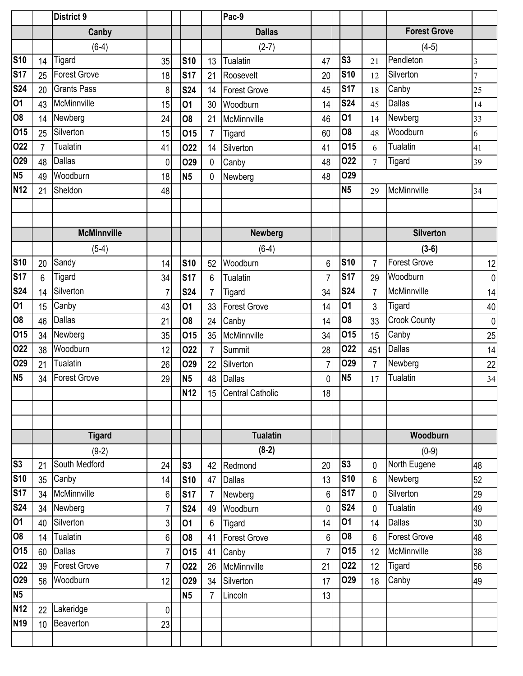|                |                 | <b>District 9</b>   |                |                |                | Pac-9               |                |                |                |                     |                |
|----------------|-----------------|---------------------|----------------|----------------|----------------|---------------------|----------------|----------------|----------------|---------------------|----------------|
|                |                 | Canby               |                |                |                | <b>Dallas</b>       |                |                |                | <b>Forest Grove</b> |                |
|                |                 | $(6-4)$             |                |                |                | $(2-7)$             |                |                |                | $(4-5)$             |                |
| <b>S10</b>     | 14              | Tigard              | 35             | <b>S10</b>     | 13             | <b>Tualatin</b>     | 47             | S <sub>3</sub> | 21             | Pendleton           | $\overline{3}$ |
| <b>S17</b>     | 25              | <b>Forest Grove</b> | 18             | <b>S17</b>     | 21             | Roosevelt           | 20             | <b>S10</b>     | 12             | Silverton           | 7              |
| <b>S24</b>     | 20              | <b>Grants Pass</b>  | 8              | <b>S24</b>     | 14             | <b>Forest Grove</b> | 45             | <b>S17</b>     | 18             | Canby               | 25             |
| 01             | 43              | McMinnville         | 15             | 01             | 30             | Woodburn            | 14             | <b>S24</b>     | 45             | <b>Dallas</b>       | 14             |
| <b>O8</b>      | 14              | Newberg             | 24             | 08             | 21             | McMinnville         | 46             | 01             | 14             | Newberg             | 33             |
| 015            | 25              | Silverton           | 15             | 015            | $\overline{7}$ | Tigard              | 60             | 08             | 48             | Woodburn            | 6              |
| 022            | $\overline{7}$  | Tualatin            | 41             | 022            | 14             | Silverton           | 41             | 015            | 6              | Tualatin            | 41             |
| <b>O29</b>     | 48              | <b>Dallas</b>       | 0              | <b>O29</b>     | $\mathbf 0$    | Canby               | 48             | 022            | $\overline{7}$ | Tigard              | 39             |
| N <sub>5</sub> | 49              | Woodburn            | 18             | <b>N5</b>      | 0              | Newberg             | 48             | O29            |                |                     |                |
| <b>N12</b>     | 21              | Sheldon             | 48             |                |                |                     |                | N <sub>5</sub> | 29             | McMinnville         | 34             |
|                |                 |                     |                |                |                |                     |                |                |                |                     |                |
|                |                 |                     |                |                |                |                     |                |                |                |                     |                |
|                |                 | <b>McMinnville</b>  |                |                |                | <b>Newberg</b>      |                |                |                | <b>Silverton</b>    |                |
|                |                 | $(5-4)$             |                |                |                | $(6-4)$             |                |                |                | $(3-6)$             |                |
| <b>S10</b>     | 20              | Sandy               | 14             | <b>S10</b>     | 52             | Woodburn            | 6              | <b>S10</b>     | 7              | <b>Forest Grove</b> | 12             |
| <b>S17</b>     | 6               | Tigard              | 34             | <b>S17</b>     | 6              | Tualatin            | $\overline{7}$ | <b>S17</b>     | 29             | Woodburn            | $\overline{0}$ |
| <b>S24</b>     | 14              | Silverton           | 7              | <b>S24</b>     | $\overline{7}$ | Tigard              | 34             | <b>S24</b>     | $\overline{7}$ | McMinnville         | 14             |
| 01             | 15              | Canby               | 43             | 01             | 33             | Forest Grove        | 14             | 01             | $\mathfrak{Z}$ | Tigard              | 40             |
| <b>O8</b>      | 46              | Dallas              | 21             | <b>O8</b>      | 24             | Canby               | 14             | 08             | 33             | <b>Crook County</b> | $\overline{0}$ |
| 015            | 34              | Newberg             | 35             | 015            | 35             | McMinnville         | 34             | 015            | 15             | Canby               | 25             |
| 022            | 38              | Woodburn            | 12             | 022            | $\overline{7}$ | <b>Summit</b>       | 28             | 022            | 451            | Dallas              | 14             |
| O29            | 21              | Tualatin            | 26             | <b>O29</b>     | 22             | Silverton           | $\overline{7}$ | O29            | $\overline{7}$ | Newberg             | 22             |
| <b>N5</b>      | 34              | <b>Forest Grove</b> | 29             | <b>N5</b>      | 48             | <b>Dallas</b>       | 0              | N <sub>5</sub> | 17             | Tualatin            | 34             |
|                |                 |                     |                | <b>N12</b>     |                | 15 Central Catholic | 18             |                |                |                     |                |
|                |                 |                     |                |                |                |                     |                |                |                |                     |                |
|                |                 |                     |                |                |                |                     |                |                |                |                     |                |
|                |                 | <b>Tigard</b>       |                |                |                | <b>Tualatin</b>     |                |                |                | Woodburn            |                |
|                |                 | $(9-2)$             |                |                |                | $(8-2)$             |                |                |                | $(0-9)$             |                |
| S3             | 21              | South Medford       | 24             | S <sub>3</sub> | 42             | Redmond             | 20             | S <sub>3</sub> | 0              | North Eugene        | 48             |
| <b>S10</b>     | 35              | Canby               | 14             | <b>S10</b>     | 47             | <b>Dallas</b>       | 13             | <b>S10</b>     | 6              | Newberg             | 52             |
| <b>S17</b>     | 34              | McMinnville         | 6              | <b>S17</b>     | 7              | Newberg             | 6              | <b>S17</b>     | 0              | Silverton           | 29             |
| <b>S24</b>     | 34              | Newberg             | 7              | <b>S24</b>     | 49             | Woodburn            | 0              | <b>S24</b>     | 0              | Tualatin            | 49             |
| 01             | 40              | Silverton           | 3              | <b>O1</b>      | 6              | Tigard              | 14             | 01             | 14             | Dallas              | 30             |
| 08             | 14              | Tualatin            | 6              | <b>O8</b>      | 41             | <b>Forest Grove</b> | 6              | 08             | 6              | <b>Forest Grove</b> | 48             |
| 015            | 60              | <b>Dallas</b>       | 7 <sup>1</sup> | 015            | 41             | Canby               | $\overline{7}$ | 015            | 12             | McMinnville         | 38             |
| 022            | 39              | <b>Forest Grove</b> | 7              | 022            | 26             | McMinnville         | 21             | 022            | 12             | Tigard              | 56             |
| 029            | 56              | Woodburn            | 12             | <b>O29</b>     | 34             | Silverton           | 17             | <b>O29</b>     | 18             | Canby               | 49             |
| <b>N5</b>      |                 |                     |                | <b>N5</b>      | 7              | Lincoln             | 13             |                |                |                     |                |
| <b>N12</b>     | 22              | Lakeridge           | $\overline{0}$ |                |                |                     |                |                |                |                     |                |
| <b>N19</b>     | 10 <sup>1</sup> | Beaverton           | 23             |                |                |                     |                |                |                |                     |                |
|                |                 |                     |                |                |                |                     |                |                |                |                     |                |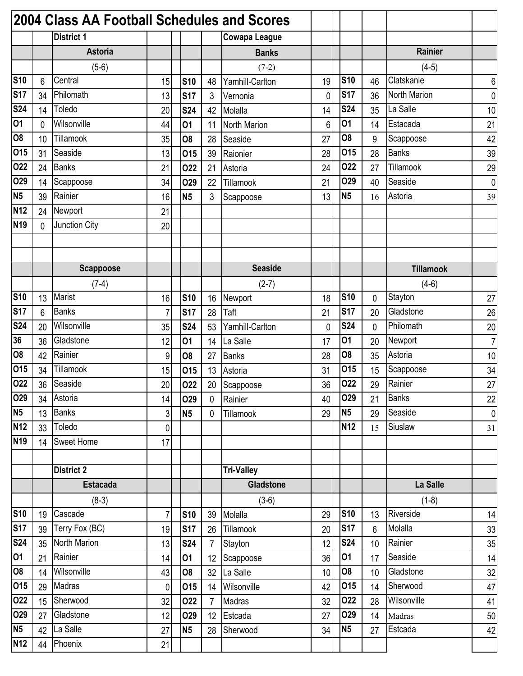|                 |    | 2004 Class AA Football Schedules and Scores |                |                |                |                      |                |                 |                 |                  |                |
|-----------------|----|---------------------------------------------|----------------|----------------|----------------|----------------------|----------------|-----------------|-----------------|------------------|----------------|
|                 |    | <b>District 1</b>                           |                |                |                | <b>Cowapa League</b> |                |                 |                 |                  |                |
|                 |    | <b>Astoria</b>                              |                |                |                | <b>Banks</b>         |                |                 |                 | Rainier          |                |
|                 |    | $(5-6)$                                     |                |                |                | $(7-2)$              |                |                 |                 | $(4-5)$          |                |
| <b>S10</b>      | 6  | Central                                     | 15             | <b>S10</b>     | 48             | Yamhill-Carlton      | 19             | <b>S10</b>      | 46              | Clatskanie       | 6              |
| <b>S17</b>      | 34 | Philomath                                   | 13             | <b>S17</b>     | 3              | Vernonia             | $\overline{0}$ | <b>S17</b>      | 36              | North Marion     | $\overline{0}$ |
| <b>S24</b>      | 14 | Toledo                                      | 20             | <b>S24</b>     | 42             | Molalla              | 14             | <b>S24</b>      | 35              | La Salle         | 10             |
| 01              | 0  | Wilsonville                                 | 44             | 01             | 11             | <b>North Marion</b>  | 6              | 01              | 14              | Estacada         | 21             |
| <b>O8</b>       | 10 | Tillamook                                   | 35             | O <sub>8</sub> | 28             | Seaside              | 27             | 08              | 9               | Scappoose        | 42             |
| 015             | 31 | Seaside                                     | 13             | 015            | 39             | Raionier             | 28             | 015             | 28              | <b>Banks</b>     | 39             |
| 022             | 24 | <b>Banks</b>                                | 21             | <b>O22</b>     | 21             | Astoria              | 24             | 022             | 27              | Tillamook        | 29             |
| <b>O29</b>      | 14 | Scappoose                                   | 34             | <b>O29</b>     | 22             | Tillamook            | 21             | O29             | 40              | Seaside          | $\pmb{0}$      |
| <b>N5</b>       | 39 | Rainier                                     | 16             | <b>N5</b>      | 3              | Scappoose            | 13             | <b>N5</b>       | 16              | Astoria          | 39             |
| <b>N12</b>      | 24 | Newport                                     | 21             |                |                |                      |                |                 |                 |                  |                |
| <b>N19</b>      | 0  | Junction City                               | 20             |                |                |                      |                |                 |                 |                  |                |
|                 |    |                                             |                |                |                |                      |                |                 |                 |                  |                |
|                 |    |                                             |                |                |                |                      |                |                 |                 |                  |                |
|                 |    | <b>Scappoose</b>                            |                |                |                | <b>Seaside</b>       |                |                 |                 | <b>Tillamook</b> |                |
|                 |    | $(7-4)$                                     |                |                |                | $(2-7)$              |                |                 |                 | $(4-6)$          |                |
| <b>S10</b>      | 13 | Marist                                      | 16             | <b>S10</b>     | 16             | Newport              | 18             | <b>S10</b>      | 0               | Stayton          | 27             |
| <b>S17</b>      | 6  | <b>Banks</b>                                | 7              | <b>S17</b>     | 28             | Taft                 | 21             | <b>S17</b>      | 20              | Gladstone        | 26             |
| <b>S24</b>      | 20 | Wilsonville                                 | 35             | <b>S24</b>     | 53             | Yamhill-Carlton      | 0              | <b>S24</b>      | 0               | Philomath        | 20             |
| 36              | 36 | Gladstone                                   | 12             | 01             | 14             | La Salle             | 17             | 01              | 20              | Newport          | $\overline{7}$ |
| <b>O8</b>       | 42 | Rainier                                     | 9              | O <sub>8</sub> | 27             | <b>Banks</b>         | 28             | 08              | 35              | Astoria          | 10             |
| 015             | 34 | Tillamook                                   | 15             | 015            | 13             | Astoria              | 31             | 015             | 15              | Scappoose        | 34             |
| 022             | 36 | Seaside                                     | 20             | 022            | 20             | Scappoose            | 36             | 022             | 29              | Rainier          | 27             |
| 029             | 34 | Astoria                                     | 14             | <b>O29</b>     | 0              | Rainier              | 40             | <b>O29</b>      | 21              | <b>Banks</b>     | 22             |
| <b>N5</b>       | 13 | <b>Banks</b>                                | $\overline{3}$ | <b>N5</b>      | $\mathbf 0$    | Tillamook            | 29             | N <sub>5</sub>  | 29              | Seaside          | $\overline{0}$ |
| <b>N12</b>      | 33 | Toledo                                      | $\overline{0}$ |                |                |                      |                | <b>N12</b>      | 15              | Siuslaw          | 31             |
| N <sub>19</sub> | 14 | <b>Sweet Home</b>                           | 17             |                |                |                      |                |                 |                 |                  |                |
|                 |    |                                             |                |                |                |                      |                |                 |                 |                  |                |
|                 |    | <b>District 2</b>                           |                |                |                | <b>Tri-Valley</b>    |                |                 |                 |                  |                |
|                 |    | <b>Estacada</b>                             |                |                |                | Gladstone            |                |                 |                 | La Salle         |                |
|                 |    | $(8-3)$                                     |                |                |                | $(3-6)$              |                |                 |                 | $(1-8)$          |                |
| <b>S10</b>      | 19 | Cascade                                     | $\overline{7}$ | <b>S10</b>     | 39             | Molalla              | 29             | <b>S10</b>      | 13              | Riverside        | 14             |
| <b>S17</b>      | 39 | Terry Fox (BC)                              | 19             | <b>S17</b>     | 26             | Tillamook            | 20             | <b>S17</b>      | 6               | Molalla          | 33             |
| <b>S24</b>      | 35 | North Marion                                | 13             | <b>S24</b>     | $\overline{7}$ | Stayton              | 12             | <b>S24</b>      | 10 <sup>1</sup> | Rainier          | 35             |
| 01              | 21 | Rainier                                     | 14             | 01             | 12             | Scappoose            | 36             | 01              | 17              | Seaside          | 14             |
| 08              | 14 | Wilsonville                                 | 43             | O <sub>8</sub> | 32             | La Salle             | 10             | 08              | 10              | Gladstone        | 32             |
| 015             | 29 | Madras                                      | $\pmb{0}$      | 015            | 14             | Wilsonville          | 42             | <b>015</b>      | 14              | Sherwood         | 47             |
| 022             | 15 | Sherwood                                    | 32             | 022            | $\overline{7}$ | Madras               | 32             | 022             | 28              | Wilsonville      | 41             |
| 029             | 27 | Gladstone                                   | 12             | <b>O29</b>     | 12             | Estcada              | 27             | O <sub>29</sub> | 14              | Madras           | 50             |
| <b>N5</b>       | 42 | La Salle                                    | 27             | <b>N5</b>      | 28             | Sherwood             | 34             | <b>N5</b>       | 27              | Estcada          | 42             |
| <b>N12</b>      | 44 | Phoenix                                     | 21             |                |                |                      |                |                 |                 |                  |                |
|                 |    |                                             |                |                |                |                      |                |                 |                 |                  |                |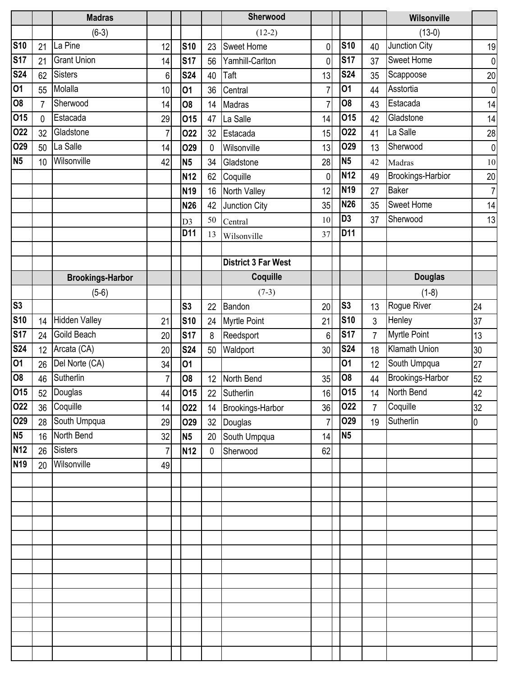|            |    | <b>Madras</b>           |                |                 |              | Sherwood                   |                |                |                | Wilsonville          |                |
|------------|----|-------------------------|----------------|-----------------|--------------|----------------------------|----------------|----------------|----------------|----------------------|----------------|
|            |    | $(6-3)$                 |                |                 |              | $(12-2)$                   |                |                |                | $(13-0)$             |                |
| <b>S10</b> | 21 | La Pine                 | 12             | <b>S10</b>      | 23           | <b>Sweet Home</b>          | 0              | <b>S10</b>     | 40             | Junction City        | 19             |
| <b>S17</b> | 21 | <b>Grant Union</b>      | 14             | <b>S17</b>      | 56           | Yamhill-Carlton            | 0              | <b>S17</b>     | 37             | Sweet Home           | $\pmb{0}$      |
| <b>S24</b> | 62 | <b>Sisters</b>          | 6              | <b>S24</b>      | 40           | Taft                       | 13             | <b>S24</b>     | 35             | Scappoose            | 20             |
| 01         | 55 | Molalla                 | 10             | 01              | 36           | Central                    | 7              | 01             | 44             | Asstortia            | $\mathbf 0$    |
| <b>O8</b>  | 7  | Sherwood                | 14             | 08              | 14           | Madras                     | $\overline{7}$ | O <sub>8</sub> | 43             | Estacada             | 14             |
| 015        | 0  | Estacada                | 29             | 015             | 47           | La Salle                   | 14             | 015            | 42             | Gladstone            | 14             |
| 022        | 32 | Gladstone               | $\overline{7}$ | 022             | 32           | Estacada                   | 15             | 022            | 41             | La Salle             | 28             |
| 029        | 50 | La Salle                | 14             | <b>O29</b>      | 0            | Wilsonville                | 13             | <b>O29</b>     | 13             | Sherwood             | $\mathbf 0$    |
| <b>N5</b>  | 10 | Wilsonville             | 42             | <b>N5</b>       | 34           | Gladstone                  | 28             | <b>N5</b>      | 42             | Madras               | 10             |
|            |    |                         |                | N <sub>12</sub> | 62           | Coquille                   | 0              | <b>N12</b>     | 49             | Brookings-Harbior    | $20\,$         |
|            |    |                         |                | N <sub>19</sub> | 16           | North Valley               | 12             | <b>N19</b>     | 27             | <b>Baker</b>         | $\overline{7}$ |
|            |    |                         |                | <b>N26</b>      | 42           | Junction City              | 35             | <b>N26</b>     | 35             | Sweet Home           | 14             |
|            |    |                         |                | D <sub>3</sub>  | 50           | Central                    | 10             | D <sub>3</sub> | 37             | Sherwood             | 13             |
|            |    |                         |                | D11             | 13           | Wilsonville                | 37             | D11            |                |                      |                |
|            |    |                         |                |                 |              |                            |                |                |                |                      |                |
|            |    |                         |                |                 |              | <b>District 3 Far West</b> |                |                |                |                      |                |
|            |    | <b>Brookings-Harbor</b> |                |                 |              | Coquille                   |                |                |                | <b>Douglas</b>       |                |
|            |    | $(5-6)$                 |                |                 |              | $(7-3)$                    |                |                |                | $(1-8)$              |                |
| S3         |    |                         |                | S <sub>3</sub>  | 22           | Bandon                     | 20             | S <sub>3</sub> | 13             | Rogue River          | 24             |
| <b>S10</b> | 14 | <b>Hidden Valley</b>    | 21             | <b>S10</b>      | 24           | <b>Myrtle Point</b>        | 21             | <b>S10</b>     | $\mathbf{3}$   | Henley               | 37             |
| <b>S17</b> | 24 | Goild Beach             | 20             | <b>S17</b>      | 8            | Reedsport                  | 6              | <b>S17</b>     | $\overline{7}$ | Myrtle Point         | 13             |
| <b>S24</b> | 12 | Arcata (CA)             | 20             | <b>S24</b>      | 50           | Waldport                   | 30             | <b>S24</b>     | 18             | <b>Klamath Union</b> | 30             |
| 01         | 26 | Del Norte (CA)          | 34             | 01              |              |                            |                | 01             | 12             | South Umpqua         | 27             |
| <b>O8</b>  | 46 | Sutherlin               | $\overline{7}$ | 08              | 12           | North Bend                 | 35             | O <sub>8</sub> | 44             | Brookings-Harbor     | 52             |
| 015        |    | 52 Douglas              | 44             | 015             | 22           | Sutherlin                  | 16             | 015            | 14             | North Bend           | 42             |
| 022        |    | 36 Coquille             | 14             | 022             | 14           | Brookings-Harbor           | 36             | 022            | $\overline{7}$ | Coquille             | 32             |
| 029        |    | 28 South Umpqua         | 29             | <b>O29</b>      |              | 32 Douglas                 | $\overline{7}$ | 029            | 19             | Sutherlin            | 0              |
| <b>N5</b>  | 16 | North Bend              | 32             | <b>N5</b>       |              | 20 South Umpqua            | 14             | N <sub>5</sub> |                |                      |                |
| <b>N12</b> | 26 | <b>Sisters</b>          | $\overline{7}$ | <b>N12</b>      | $\mathbf{0}$ | Sherwood                   | 62             |                |                |                      |                |
| <b>N19</b> | 20 | Wilsonville             | 49             |                 |              |                            |                |                |                |                      |                |
|            |    |                         |                |                 |              |                            |                |                |                |                      |                |
|            |    |                         |                |                 |              |                            |                |                |                |                      |                |
|            |    |                         |                |                 |              |                            |                |                |                |                      |                |
|            |    |                         |                |                 |              |                            |                |                |                |                      |                |
|            |    |                         |                |                 |              |                            |                |                |                |                      |                |
|            |    |                         |                |                 |              |                            |                |                |                |                      |                |
|            |    |                         |                |                 |              |                            |                |                |                |                      |                |
|            |    |                         |                |                 |              |                            |                |                |                |                      |                |
|            |    |                         |                |                 |              |                            |                |                |                |                      |                |
|            |    |                         |                |                 |              |                            |                |                |                |                      |                |
|            |    |                         |                |                 |              |                            |                |                |                |                      |                |
|            |    |                         |                |                 |              |                            |                |                |                |                      |                |
|            |    |                         |                |                 |              |                            |                |                |                |                      |                |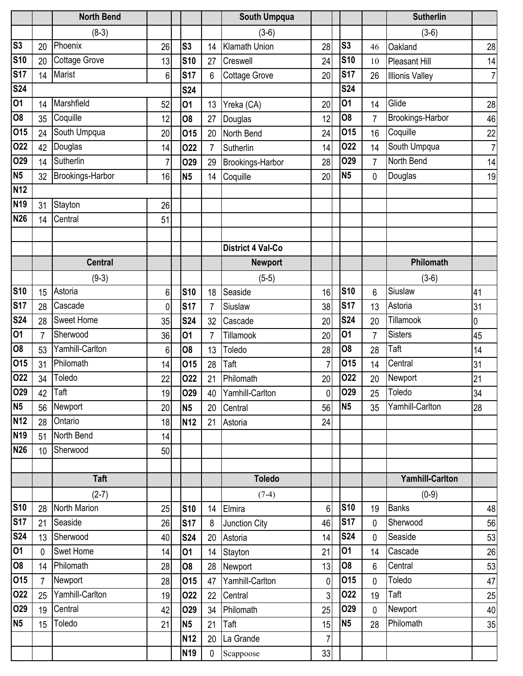|                |                  | <b>North Bend</b>    |    |                 |                | South Umpqua             |                |                |                | <b>Sutherlin</b>       |                |
|----------------|------------------|----------------------|----|-----------------|----------------|--------------------------|----------------|----------------|----------------|------------------------|----------------|
|                |                  | $(8-3)$              |    |                 |                | $(3-6)$                  |                |                |                | $(3-6)$                |                |
| S <sub>3</sub> | 20               | Phoenix              | 26 | S <sub>3</sub>  | 14             | <b>Klamath Union</b>     | 28             | S <sub>3</sub> | 46             | Oakland                | 28             |
| <b>S10</b>     | 20               | <b>Cottage Grove</b> | 13 | <b>S10</b>      | 27             | Creswell                 | 24             | <b>S10</b>     | 10             | Pleasant Hill          | 14             |
| <b>S17</b>     | 14               | <b>Marist</b>        | 6  | <b>S17</b>      | 6              | <b>Cottage Grove</b>     | 20             | <b>S17</b>     | 26             | <b>Illionis Valley</b> | $\overline{7}$ |
| <b>S24</b>     |                  |                      |    | <b>S24</b>      |                |                          |                | <b>S24</b>     |                |                        |                |
| 01             | 14               | Marshfield           | 52 | 01              | 13             | Yreka (CA)               | 20             | 01             | 14             | Glide                  | 28             |
| <b>O8</b>      | 35               | Coquille             | 12 | 08              | 27             | Douglas                  | 12             | <b>O8</b>      | $\overline{7}$ | Brookings-Harbor       | 46             |
| 015            | 24               | South Umpqua         | 20 | 015             | 20             | North Bend               | 24             | <b>015</b>     | 16             | Coquille               | 22             |
| 022            | 42               | Douglas              | 14 | 022             | $\overline{7}$ | Sutherlin                | 14             | <b>O22</b>     | 14             | South Umpqua           | $\overline{7}$ |
| O29            | 14               | Sutherlin            | 7  | <b>O29</b>      | 29             | Brookings-Harbor         | 28             | <b>O29</b>     | $\overline{7}$ | <b>North Bend</b>      | 14             |
| N <sub>5</sub> | 32               | Brookings-Harbor     | 16 | N <sub>5</sub>  | 14             | Coquille                 | 20             | N <sub>5</sub> | 0              | Douglas                | 19             |
| <b>N12</b>     |                  |                      |    |                 |                |                          |                |                |                |                        |                |
| <b>N19</b>     | 31               | Stayton              | 26 |                 |                |                          |                |                |                |                        |                |
| <b>N26</b>     | 14               | Central              | 51 |                 |                |                          |                |                |                |                        |                |
|                |                  |                      |    |                 |                |                          |                |                |                |                        |                |
|                |                  |                      |    |                 |                | <b>District 4 Val-Co</b> |                |                |                |                        |                |
|                |                  | <b>Central</b>       |    |                 |                | <b>Newport</b>           |                |                |                | Philomath              |                |
|                |                  | $(9-3)$              |    |                 |                | $(5-5)$                  |                |                |                | $(3-6)$                |                |
| <b>S10</b>     | 15               | Astoria              | 6  | <b>S10</b>      | 18             | Seaside                  | 16             | <b>S10</b>     | 6              | Siuslaw                | 41             |
| <b>S17</b>     | 28               | Cascade              | 0  | <b>S17</b>      | $\overline{7}$ | Siuslaw                  | 38             | <b>S17</b>     | 13             | Astoria                | 31             |
| <b>S24</b>     | 28               | <b>Sweet Home</b>    | 35 | <b>S24</b>      | 32             | Cascade                  | 20             | <b>S24</b>     | 20             | Tillamook              | 0              |
| 01             |                  | Sherwood             | 36 | 01              | 7              | Tillamook                | 20             | 01             | 7              | <b>Sisters</b>         | 45             |
| <b>O8</b>      | 53               | Yamhill-Carlton      | 6  | O <sub>8</sub>  | 13             | Toledo                   | 28             | <b>O8</b>      | 28             | Taft                   | 14             |
| 015            | 31               | Philomath            | 14 | 015             | 28             | Taft                     | $\overline{7}$ | 015            | 14             | Central                | 31             |
| 022            | 34               | Toledo               | 22 | 022             | 21             | Philomath                | 20             | 022            | 20             | Newport                | 21             |
| 029            |                  | $42$ Taft            | 19 | 029             |                | 40 Yamhill-Carlton       | 0              | 029            | 25             | Toledo                 | 34             |
| <b>N5</b>      | 56               | Newport              | 20 | N <sub>5</sub>  | 20             | Central                  | 56             | N <sub>5</sub> | 35             | Yamhill-Carlton        | 28             |
| <b>N12</b>     | 28               | Ontario              | 18 | <b>N12</b>      | 21             | Astoria                  | 24             |                |                |                        |                |
| <b>N19</b>     | 51               | North Bend           | 14 |                 |                |                          |                |                |                |                        |                |
| <b>N26</b>     | 10 <sup>°</sup>  | Sherwood             | 50 |                 |                |                          |                |                |                |                        |                |
|                |                  |                      |    |                 |                |                          |                |                |                |                        |                |
|                |                  | <b>Taft</b>          |    |                 |                | <b>Toledo</b>            |                |                |                | <b>Yamhill-Carlton</b> |                |
|                |                  | $(2-7)$              |    |                 |                | $(7-4)$                  |                |                |                | $(0-9)$                |                |
| <b>S10</b>     | 28               | <b>North Marion</b>  | 25 | <b>S10</b>      |                | 14 Elmira                | 6              | <b>S10</b>     | 19             | <b>Banks</b>           | 48             |
| <b>S17</b>     | 21               | Seaside              | 26 | <b>S17</b>      | 8              | Junction City            | 46             | <b>S17</b>     | $\mathbf{0}$   | Sherwood               | 56             |
| <b>S24</b>     | 13               | Sherwood             | 40 | <b>S24</b>      |                | 20 Astoria               | 14             | <b>S24</b>     | $\mathbf 0$    | Seaside                | 53             |
| 01             | $\mathbf{0}$     | <b>Swet Home</b>     | 14 | 01              |                | 14 Stayton               | 21             | 01             | 14             | Cascade                | 26             |
| 08             | 14               | Philomath            | 28 | 08              |                | 28 Newport               | 13             | <b>O8</b>      | $6\phantom{1}$ | Central                | 53             |
| 015            | $\overline{7}$   | Newport              | 28 | 015             |                | 47 Yamhill-Carlton       | 0              | 015            | $\mathbf 0$    | Toledo                 | 47             |
| 022            | 25               | Yamhill-Carlton      | 19 | 022             |                | 22 Central               | 3              | 022            | 19             | Taft                   | 25             |
| <b>O29</b>     | 19               | Central              | 42 | <b>O29</b>      | 34             | Philomath                | 25             | <b>O29</b>     | $\mathbf{0}$   | Newport                | 40             |
| N <sub>5</sub> | 15 <sup>15</sup> | Toledo               | 21 | <b>N5</b>       | 21             | Taft                     | 15             | N <sub>5</sub> | 28             | Philomath              | 35             |
|                |                  |                      |    | N <sub>12</sub> | 20             | La Grande                | $\overline{7}$ |                |                |                        |                |
|                |                  |                      |    | N <sub>19</sub> | $\mathbf{0}$   | Scappoose                | 33             |                |                |                        |                |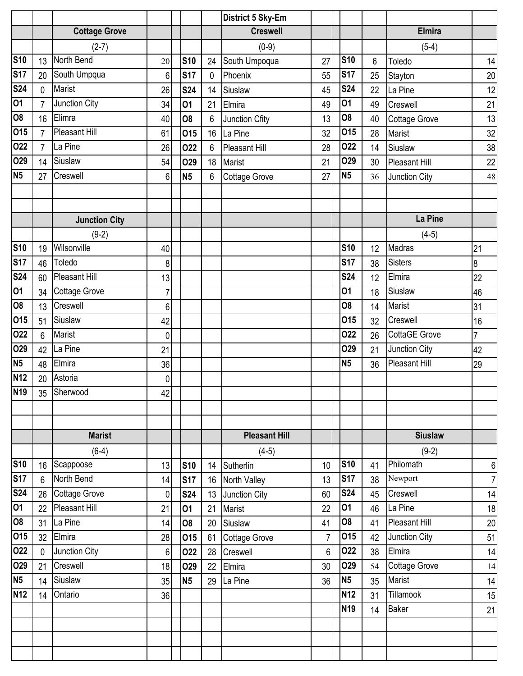|                |                |                      |                |            |             | District 5 Sky-Em    |                |                |    |                |                |
|----------------|----------------|----------------------|----------------|------------|-------------|----------------------|----------------|----------------|----|----------------|----------------|
|                |                | <b>Cottage Grove</b> |                |            |             | <b>Creswell</b>      |                |                |    | <b>Elmira</b>  |                |
|                |                | $(2-7)$              |                |            |             | $(0-9)$              |                |                |    | $(5-4)$        |                |
| <b>S10</b>     | 13             | North Bend           | 20             | <b>S10</b> | 24          | South Umpoqua        | 27             | <b>S10</b>     | 6  | Toledo         | 14             |
| <b>S17</b>     | 20             | South Umpqua         | 6              | <b>S17</b> | $\mathbf 0$ | Phoenix              | 55             | <b>S17</b>     | 25 | Stayton        | 20             |
| <b>S24</b>     | 0              | Marist               | 26             | <b>S24</b> | 14          | Siuslaw              | 45             | <b>S24</b>     | 22 | La Pine        | 12             |
| 01             |                | Junction City        | 34             | 01         | 21          | Elmira               | 49             | 01             | 49 | Creswell       | 21             |
| O <sub>8</sub> | 16             | Elimra               | 40             | 08         | 6           | Junction Cfity       | 13             | 08             | 40 | Cottage Grove  | 13             |
| 015            | $\overline{7}$ | <b>Pleasant Hill</b> | 61             | <b>015</b> | 16          | La Pine              | 32             | 015            | 28 | Marist         | 32             |
| 022            | $\overline{7}$ | La Pine              | 26             | 022        | 6           | <b>Pleasant Hill</b> | 28             | 022            | 14 | Siuslaw        | 38             |
| 029            | 14             | Siuslaw              | 54             | O29        | 18          | Marist               | 21             | O29            | 30 | Pleasant Hill  | 22             |
| <b>N5</b>      | 27             | Creswell             | 6              | <b>N5</b>  | 6           | Cottage Grove        | 27             | <b>N5</b>      | 36 | Junction City  | 48             |
|                |                |                      |                |            |             |                      |                |                |    |                |                |
|                |                |                      |                |            |             |                      |                |                |    |                |                |
|                |                | <b>Junction City</b> |                |            |             |                      |                |                |    | La Pine        |                |
|                |                | $(9-2)$              |                |            |             |                      |                |                |    | $(4-5)$        |                |
| <b>S10</b>     | 19             | Wilsonville          | 40             |            |             |                      |                | <b>S10</b>     | 12 | Madras         | 21             |
| <b>S17</b>     | 46             | Toledo               | 8              |            |             |                      |                | <b>S17</b>     | 38 | <b>Sisters</b> | 8              |
| <b>S24</b>     | 60             | <b>Pleasant Hill</b> | 13             |            |             |                      |                | <b>S24</b>     | 12 | Elmira         | 22             |
| 01             | 34             | <b>Cottage Grove</b> | 7              |            |             |                      |                | 01             | 18 | Siuslaw        | 46             |
| <b>O8</b>      | 13             | Creswell             | 6              |            |             |                      |                | 08             | 14 | Marist         | 31             |
| 015            | 51             | Siuslaw              | 42             |            |             |                      |                | 015            | 32 | Creswell       | 16             |
| 022            | 6              | <b>Marist</b>        | 0              |            |             |                      |                | 022            | 26 | CottaGE Grove  | $\overline{7}$ |
| O29            | 42             | La Pine              | 21             |            |             |                      |                | O29            | 21 | Junction City  | 42             |
| N <sub>5</sub> | 48             | Elmira               | 36             |            |             |                      |                | N <sub>5</sub> | 36 | Pleasant Hill  | 29             |
| <b>N12</b>     | 20             | Astoria              | 0              |            |             |                      |                |                |    |                |                |
| <b>N19</b>     |                | 35 Sherwood          | 42             |            |             |                      |                |                |    |                |                |
|                |                |                      |                |            |             |                      |                |                |    |                |                |
|                |                |                      |                |            |             |                      |                |                |    |                |                |
|                |                | <b>Marist</b>        |                |            |             | <b>Pleasant Hill</b> |                |                |    | <b>Siuslaw</b> |                |
|                |                | $(6-4)$              |                |            |             | $(4-5)$              |                |                |    | $(9-2)$        |                |
| <b>S10</b>     |                | 16 Scappoose         | 13             | <b>S10</b> |             | 14 Sutherlin         | 10             | <b>S10</b>     | 41 | Philomath      | 6              |
| <b>S17</b>     | $6\phantom{1}$ | North Bend           | 14             | <b>S17</b> |             | 16 North Valley      | 13             | <b>S17</b>     | 38 | Newport        | $\overline{7}$ |
| <b>S24</b>     |                | 26 Cottage Grove     | $\overline{0}$ | <b>S24</b> |             | 13 Junction City     | 60             | <b>S24</b>     | 45 | Creswell       | 14             |
| 01             | 22             | Pleasant Hill        | 21             | 01         | 21          | Marist               | 22             | 01             | 46 | La Pine        | 18             |
| 08             | 31             | La Pine              | 14             | 08         | 20          | Siuslaw              | 41             | <b>O8</b>      | 41 | Pleasant Hill  | 20             |
| 015            | 32             | Elmira               | 28             | 015        | 61          | <b>Cottage Grove</b> | $\overline{7}$ | 015            | 42 | Junction City  | 51             |
| 022            | $\mathbf{0}$   | Junction City        | 6 <sup>1</sup> | 022        | 28          | Creswell             | 6 <sup>1</sup> | 022            | 38 | Elmira         | 14             |
| 029            | 21             | Creswell             | 18             | 029        | 22          | Elmira               | 30             | <b>O29</b>     | 54 | Cottage Grove  | 14             |
| <b>N5</b>      | 14             | Siuslaw              | 35             | <b>N5</b>  | 29          | La Pine              | 36             | N <sub>5</sub> | 35 | Marist         | 14             |
| <b>N12</b>     | 14             | Ontario              | 36             |            |             |                      |                | <b>N12</b>     | 31 | Tillamook      | 15             |
|                |                |                      |                |            |             |                      |                | <b>N19</b>     | 14 | <b>Baker</b>   | 21             |
|                |                |                      |                |            |             |                      |                |                |    |                |                |
|                |                |                      |                |            |             |                      |                |                |    |                |                |
|                |                |                      |                |            |             |                      |                |                |    |                |                |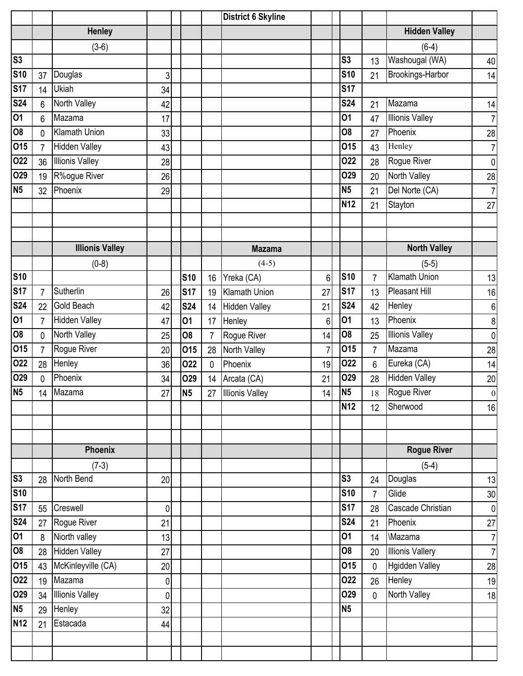|                 |                |                        |                |                |                | <b>District 6 Skyline</b> |                |                |                |                         |                 |
|-----------------|----------------|------------------------|----------------|----------------|----------------|---------------------------|----------------|----------------|----------------|-------------------------|-----------------|
|                 |                | <b>Henley</b>          |                |                |                |                           |                |                |                | <b>Hidden Valley</b>    |                 |
|                 |                | $(3-6)$                |                |                |                |                           |                |                |                | $(6-4)$                 |                 |
| S <sub>3</sub>  |                |                        |                |                |                |                           |                | S <sub>3</sub> | 13             | Washougal (WA)          | 40              |
| <b>S10</b>      | 37             | Douglas                | 3              |                |                |                           |                | <b>S10</b>     | 21             | Brookings-Harbor        | 14              |
| <b>S17</b>      | 14             | Ukiah                  | 34             |                |                |                           |                | <b>S17</b>     |                |                         |                 |
| <b>S24</b>      | 6              | North Valley           | 42             |                |                |                           |                | <b>S24</b>     | 21             | Mazama                  | 14              |
| 01              | 6              | Mazama                 | 17             |                |                |                           |                | 01             | 47             | <b>Illionis Valley</b>  | 7 <sup>1</sup>  |
| 08              | $\Omega$       | <b>Klamath Union</b>   | 33             |                |                |                           |                | 08             | 27             | Phoenix                 | 28              |
| 015             | $\overline{7}$ | <b>Hidden Valley</b>   | 43             |                |                |                           |                | 015            | 43             | Henley                  | 7 <sup>1</sup>  |
| 022             | 36             | <b>Illionis Valley</b> | 28             |                |                |                           |                | 022            | 28             | Rogue River             | 0               |
| 029             | 19             | R%ogue River           | 26             |                |                |                           |                | O29            | 20             | North Valley            | 28              |
| N <sub>5</sub>  | 32             | Phoenix                | 29             |                |                |                           |                | <b>N5</b>      | 21             | Del Norte (CA)          | 7 <sup>1</sup>  |
|                 |                |                        |                |                |                |                           |                | <b>N12</b>     | 21             | Stayton                 | 27              |
|                 |                |                        |                |                |                |                           |                |                |                |                         |                 |
|                 |                |                        |                |                |                |                           |                |                |                |                         |                 |
|                 |                | <b>Illionis Valley</b> |                |                |                | <b>Mazama</b>             |                |                |                | <b>North Valley</b>     |                 |
|                 |                | $(0-8)$                |                |                |                | $(4-5)$                   |                |                |                | $(5-5)$                 |                 |
| <b>S10</b>      |                |                        |                | <b>S10</b>     | 16             | Yreka (CA)                | 6              | <b>S10</b>     | $\overline{7}$ | <b>Klamath Union</b>    | 13              |
| <b>S17</b>      | $\overline{7}$ | Sutherlin              | 26             | <b>S17</b>     | 19             | <b>Klamath Union</b>      | 27             | <b>S17</b>     | 13             | <b>Pleasant Hill</b>    | 16              |
| <b>S24</b>      | 22             | Gold Beach             | 42             | <b>S24</b>     | 14             | <b>Hidden Valley</b>      | 21             | <b>S24</b>     | 42             | Henley                  | 6               |
| $\overline{01}$ | $\overline{7}$ | <b>Hidden Valley</b>   | 47             | 01             | 17             | Henley                    | 6              | 01             | 13             | Phoenix                 | 8               |
| $\overline{80}$ | $\mathbf{0}$   | North Valley           | 25             | 08             | $\overline{7}$ | Rogue River               | 14             | O <sub>8</sub> | 25             | <b>Illionis Valley</b>  | $\overline{0}$  |
| 015             | $\overline{7}$ | Rogue River            | 20             | 015            | 28             | North Valley              | $\overline{7}$ | 015            | $\overline{7}$ | Mazama                  | 28              |
| 022             | 28             | Henley                 | 36             | 022            | $\mathbf 0$    | Phoenix                   | 19             | 022            | 6              | Eureka (CA)             | 14              |
| 029             | 0              | Phoenix                | 34             | <b>O29</b>     | 14             | Arcata (CA)               | 21             | 029            | 28             | <b>Hidden Valley</b>    | $20\,$          |
| N <sub>5</sub>  | 14             | Mazama                 | 27             | N <sub>5</sub> | 27             | <b>Illionis Valley</b>    | 14             | N <sub>5</sub> | $18\,$         | Rogue River             | $\overline{0}$  |
|                 |                |                        |                |                |                |                           |                | <b>N12</b>     | 12             | Sherwood                | 16              |
|                 |                |                        |                |                |                |                           |                |                |                |                         |                 |
|                 |                |                        |                |                |                |                           |                |                |                |                         |                 |
|                 |                | Phoenix                |                |                |                |                           |                |                |                | <b>Rogue River</b>      |                 |
|                 |                | $(7-3)$                |                |                |                |                           |                |                |                | $(5-4)$                 |                 |
| S3              | 28             | North Bend             | 20             |                |                |                           |                | S <sub>3</sub> | 24             | Douglas                 | 13              |
| <b>S10</b>      |                |                        |                |                |                |                           |                | <b>S10</b>     | $\overline{7}$ | Glide                   | 30 <sub>1</sub> |
| <b>S17</b>      | 55             | Creswell               | $\overline{0}$ |                |                |                           |                | <b>S17</b>     | 28             | Cascade Christian       | 0               |
| <b>S24</b>      | 27             | Rogue River            | 21             |                |                |                           |                | <b>S24</b>     | 21             | Phoenix                 | 27              |
| 01              | 8              | Niorth valley          | 13             |                |                |                           |                | 01             | 14             | <b>Mazama</b>           | 7               |
| 08              | 28             | <b>Hidden Valley</b>   | 27             |                |                |                           |                | 08             | 20             | <b>Illionis Vallery</b> | 7               |
| 015             | 43             | McKinleyville (CA)     | 20             |                |                |                           |                | 015            | $\mathbf{0}$   | <b>Hgidden Valley</b>   | 28              |
| 022             | 19             | Mazama                 | 0              |                |                |                           |                | 022            | 26             | Henley                  | 19              |
| 029             | 34             | <b>Illionis Valley</b> | $\mathbf 0$    |                |                |                           |                | O29            | $\mathbf 0$    | North Valley            | 18              |
| N <sub>5</sub>  | 29             | Henley                 | 32             |                |                |                           |                | <b>N5</b>      |                |                         |                 |
| <b>N12</b>      | 21             | Estacada               | 44             |                |                |                           |                |                |                |                         |                 |
|                 |                |                        |                |                |                |                           |                |                |                |                         |                 |
|                 |                |                        |                |                |                |                           |                |                |                |                         |                 |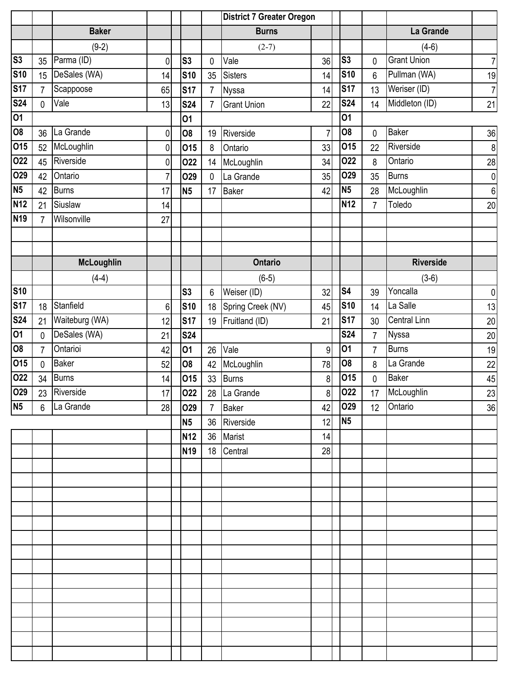|                |                 |                   |                |                | <b>District 7 Greater Oregon</b> |                           |                |                 |                 |                     |                |
|----------------|-----------------|-------------------|----------------|----------------|----------------------------------|---------------------------|----------------|-----------------|-----------------|---------------------|----------------|
|                |                 | <b>Baker</b>      |                |                |                                  | <b>Burns</b>              |                |                 |                 | La Grande           |                |
|                |                 | $(9-2)$           |                |                |                                  | $(2-7)$                   |                |                 |                 | $(4-6)$             |                |
| S <sub>3</sub> | 35              | Parma (ID)        | 0              | S <sub>3</sub> | 0                                | Vale                      | 36             | S <sub>3</sub>  | 0               | <b>Grant Union</b>  | $\overline{7}$ |
| <b>S10</b>     | 15              | DeSales (WA)      | 14             | <b>S10</b>     | 35                               | <b>Sisters</b>            | 14             | <b>S10</b>      | $6\phantom{.}$  | Pullman (WA)        | 19             |
| <b>S17</b>     | $\overline{7}$  | Scappoose         | 65             | <b>S17</b>     | $\overline{7}$                   | <b>Nyssa</b>              | 14             | <b>S17</b>      | 13              | Weriser (ID)        | $\overline{7}$ |
| <b>S24</b>     | 0               | Vale              | 13             | <b>S24</b>     | $\overline{7}$                   | <b>Grant Union</b>        | 22             | <b>S24</b>      | 14              | Middleton (ID)      | 21             |
| 01             |                 |                   |                | 01             |                                  |                           |                | 01              |                 |                     |                |
| 08             | 36              | La Grande         | 0              | O <sub>8</sub> | 19                               | Riverside                 | $\overline{7}$ | O <sub>8</sub>  | 0               | <b>Baker</b>        | 36             |
| 015            | 52              | McLoughlin        | 0              | 015            | 8                                | Ontario                   | 33             | 015             | 22              | Riverside           | $\bf 8$        |
| 022            | 45              | Riverside         | 0              | 022            | 14                               | McLoughlin                | 34             | 022             | 8               | Ontario             | 28             |
| 029            | 42              | Ontario           | $\overline{7}$ | <b>O29</b>     | $\mathbf 0$                      | La Grande                 | 35             | 029             | 35              | <b>Burns</b>        | $\pmb{0}$      |
| <b>N5</b>      | 42              | <b>Burns</b>      | 17             | <b>N5</b>      | 17                               | <b>Baker</b>              | 42             | N <sub>5</sub>  | 28              | McLoughlin          | $\,6$          |
| <b>N12</b>     | 21              | Siuslaw           | 14             |                |                                  |                           |                | N <sub>12</sub> | 7               | Toledo              | 20             |
| <b>N19</b>     | 7               | Wilsonville       | 27             |                |                                  |                           |                |                 |                 |                     |                |
|                |                 |                   |                |                |                                  |                           |                |                 |                 |                     |                |
|                |                 |                   |                |                |                                  |                           |                |                 |                 |                     |                |
|                |                 | <b>McLoughlin</b> |                |                |                                  | <b>Ontario</b>            |                |                 |                 | <b>Riverside</b>    |                |
|                |                 | $(4-4)$           |                |                |                                  | $(6-5)$                   |                |                 |                 | $(3-6)$             |                |
| <b>S10</b>     |                 |                   |                | S <sub>3</sub> | 6                                | Weiser (ID)               | 32             | S <sub>4</sub>  | 39              | Yoncalla            | $\pmb{0}$      |
| <b>S17</b>     | 18              | Stanfield         | 6              | <b>S10</b>     | 18                               | Spring Creek (NV)         | 45             | <b>S10</b>      | 14              | La Salle            | 13             |
| <b>S24</b>     | 21              | Waiteburg (WA)    | 12             | <b>S17</b>     | 19                               | Fruitland (ID)            | 21             | <b>S17</b>      | 30              | <b>Central Linn</b> | 20             |
| 01             | 0               | DeSales (WA)      | 21             | <b>S24</b>     |                                  |                           |                | <b>S24</b>      | $\overline{7}$  | <b>Nyssa</b>        | $20\,$         |
| 08             | $\overline{7}$  | Ontarioi          | 42             | 01             | 26                               | Vale                      | 9              | 01              | $\overline{7}$  | <b>Burns</b>        | 19             |
| 015            | 0               | <b>Baker</b>      | 52             | <b>O8</b>      | 42                               | McLoughlin                | 78             | 08              | 8               | La Grande           | 22             |
| 022            | 34              | Burns             | 14             | 015            | 33                               | <b>Burns</b>              | 8 <sup>1</sup> | 015             | 0               | <b>Baker</b>        | 45             |
| 029            |                 | 23 Riverside      | 17             | 022            |                                  | $\overline{28}$ La Grande | 8              | 022             |                 | 17 McLoughlin       | 23             |
| N <sub>5</sub> | $6\overline{6}$ | La Grande         | 28             | O29            | $7^{\circ}$                      | <b>Baker</b>              | 42             | <b>O29</b>      | 12 <sup>°</sup> | Ontario             | 36             |
|                |                 |                   |                | <b>N5</b>      |                                  | 36 Riverside              | 12             | <b>N5</b>       |                 |                     |                |
|                |                 |                   |                | <b>N12</b>     |                                  | 36 Marist                 | 14             |                 |                 |                     |                |
|                |                 |                   |                | <b>N19</b>     |                                  | 18 Central                | 28             |                 |                 |                     |                |
|                |                 |                   |                |                |                                  |                           |                |                 |                 |                     |                |
|                |                 |                   |                |                |                                  |                           |                |                 |                 |                     |                |
|                |                 |                   |                |                |                                  |                           |                |                 |                 |                     |                |
|                |                 |                   |                |                |                                  |                           |                |                 |                 |                     |                |
|                |                 |                   |                |                |                                  |                           |                |                 |                 |                     |                |
|                |                 |                   |                |                |                                  |                           |                |                 |                 |                     |                |
|                |                 |                   |                |                |                                  |                           |                |                 |                 |                     |                |
|                |                 |                   |                |                |                                  |                           |                |                 |                 |                     |                |
|                |                 |                   |                |                |                                  |                           |                |                 |                 |                     |                |
|                |                 |                   |                |                |                                  |                           |                |                 |                 |                     |                |
|                |                 |                   |                |                |                                  |                           |                |                 |                 |                     |                |
|                |                 |                   |                |                |                                  |                           |                |                 |                 |                     |                |
|                |                 |                   |                |                |                                  |                           |                |                 |                 |                     |                |
|                |                 |                   |                |                |                                  |                           |                |                 |                 |                     |                |